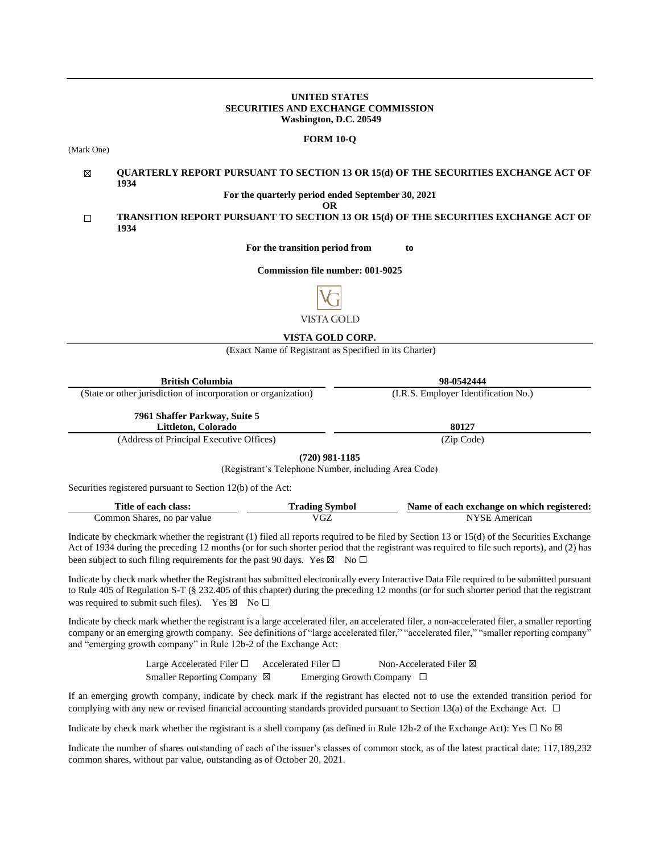### **UNITED STATES SECURITIES AND EXCHANGE COMMISSION Washington, D.C. 20549**

#### **FORM 10-Q**

(Mark One)

#### ☒ **QUARTERLY REPORT PURSUANT TO SECTION 13 OR 15(d) OF THE SECURITIES EXCHANGE ACT OF 1934**

**For the quarterly period ended September 30, 2021**

**OR**

# ☐ **TRANSITION REPORT PURSUANT TO SECTION 13 OR 15(d) OF THE SECURITIES EXCHANGE ACT OF 1934**

**For the transition period from to**

**Commission file number: 001-9025**



## **VISTA GOLD CORP.**

(Exact Name of Registrant as Specified in its Charter)

| <b>British Columbia</b>                                        | 98-0542444                           |
|----------------------------------------------------------------|--------------------------------------|
| (State or other jurisdiction of incorporation or organization) | (I.R.S. Employer Identification No.) |
| 7961 Shaffer Parkway, Suite 5<br>Littleton, Colorado           | 80127                                |
| $(11 \t{cm}^2 \t{cm}^2 \t{cm}^2 \t{cm}^2)$                     | (7.01)                               |

(Address of Principal Executive Offices) (Zip Code)

**(720) 981-1185**

(Registrant's Telephone Number, including Area Code)

Securities registered pursuant to Section 12(b) of the Act:

| Title of each class:        | Trading Symbol | Name of each exchange on which registered: |
|-----------------------------|----------------|--------------------------------------------|
| Common Shares, no par value | VGZ            | NYSE American                              |

Indicate by checkmark whether the registrant (1) filed all reports required to be filed by Section 13 or 15(d) of the Securities Exchange Act of 1934 during the preceding 12 months (or for such shorter period that the registrant was required to file such reports), and (2) has been subject to such filing requirements for the past 90 days. Yes  $\boxtimes$  No  $\Box$ 

Indicate by check mark whether the Registrant has submitted electronically every Interactive Data File required to be submitted pursuant to Rule 405 of Regulation S-T (§ 232.405 of this chapter) during the preceding 12 months (or for such shorter period that the registrant was required to submit such files). Yes  $\boxtimes$  No  $\Box$ 

Indicate by check mark whether the registrant is a large accelerated filer, an accelerated filer, a non-accelerated filer, a smaller reporting company or an emerging growth company. See definitions of "large accelerated filer," "accelerated filer," "smaller reporting company" and "emerging growth company" in Rule 12b-2 of the Exchange Act:

> Large Accelerated Filer □ Accelerated Filer □ Non-Accelerated Filer ⊠ Smaller Reporting Company ⊠ Emerging Growth Company □

If an emerging growth company, indicate by check mark if the registrant has elected not to use the extended transition period for complying with any new or revised financial accounting standards provided pursuant to Section 13(a) of the Exchange Act.  $\Box$ 

Indicate by check mark whether the registrant is a shell company (as defined in Rule 12b-2 of the Exchange Act): Yes  $\Box$  No  $\boxtimes$ 

Indicate the number of shares outstanding of each of the issuer's classes of common stock, as of the latest practical date: 117,189,232 common shares, without par value, outstanding as of October 20, 2021.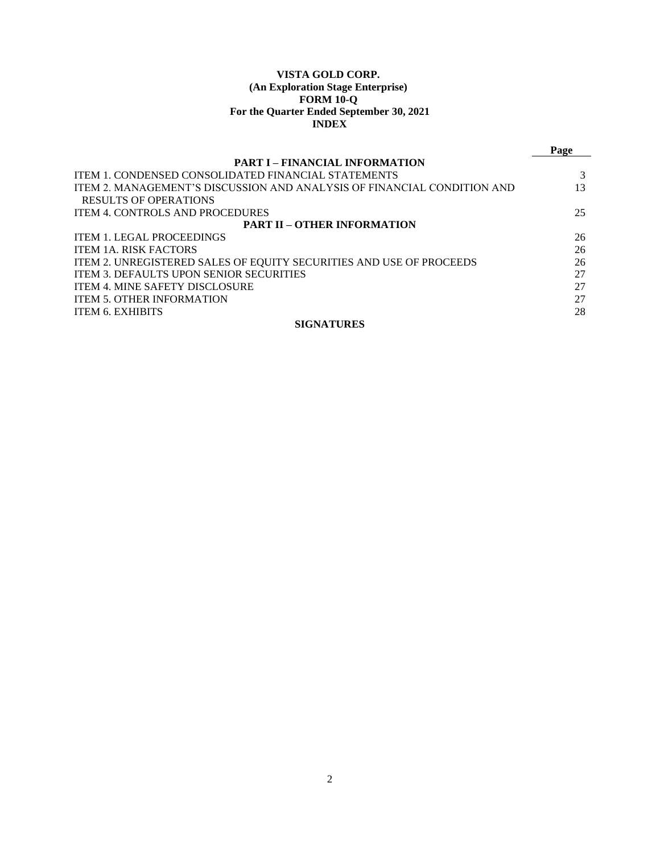## **VISTA GOLD CORP. (An Exploration Stage Enterprise) FORM 10-Q For the Quarter Ended September 30, 2021 INDEX**

|                                                                         | Page |  |  |  |  |
|-------------------------------------------------------------------------|------|--|--|--|--|
| <b>PART I – FINANCIAL INFORMATION</b>                                   |      |  |  |  |  |
| ITEM 1. CONDENSED CONSOLIDATED FINANCIAL STATEMENTS                     |      |  |  |  |  |
| ITEM 2. MANAGEMENT'S DISCUSSION AND ANALYSIS OF FINANCIAL CONDITION AND | 13   |  |  |  |  |
| RESULTS OF OPERATIONS                                                   |      |  |  |  |  |
| <b>ITEM 4. CONTROLS AND PROCEDURES</b>                                  | 25   |  |  |  |  |
| <b>PART II – OTHER INFORMATION</b>                                      |      |  |  |  |  |
| ITEM 1. LEGAL PROCEEDINGS                                               | 26   |  |  |  |  |
| <b>ITEM 1A. RISK FACTORS</b>                                            | 26   |  |  |  |  |
| ITEM 2. UNREGISTERED SALES OF EQUITY SECURITIES AND USE OF PROCEEDS     | 26   |  |  |  |  |
| <b>ITEM 3. DEFAULTS UPON SENIOR SECURITIES</b>                          | 27   |  |  |  |  |
| ITEM 4. MINE SAFETY DISCLOSURE                                          | 27   |  |  |  |  |
| <b>ITEM 5. OTHER INFORMATION</b>                                        | 27   |  |  |  |  |
| <b>ITEM 6. EXHIBITS</b>                                                 | 28   |  |  |  |  |
| <b>SIGNATURES</b>                                                       |      |  |  |  |  |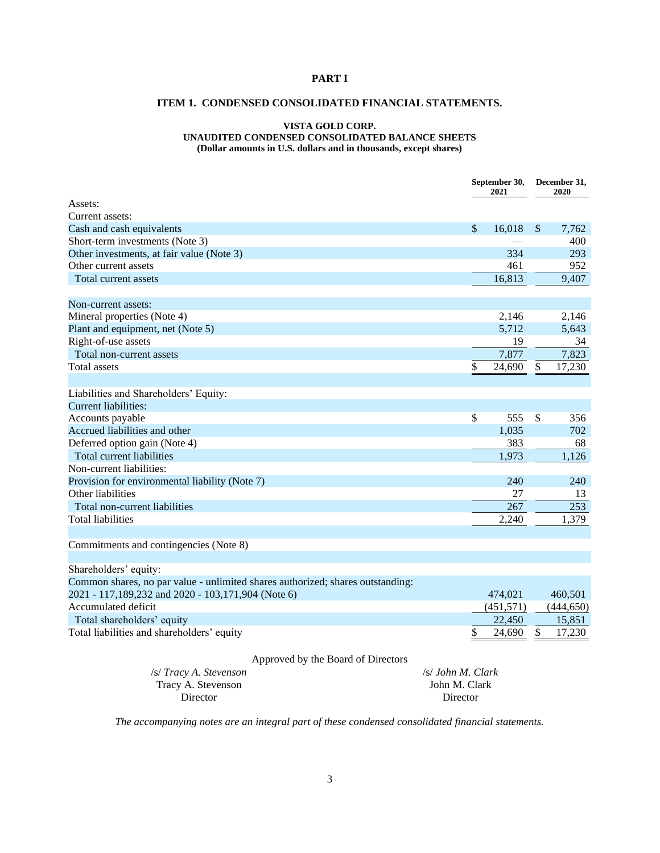# <span id="page-2-1"></span><span id="page-2-0"></span>**PART I**

## **ITEM 1. CONDENSED CONSOLIDATED FINANCIAL STATEMENTS.**

### **VISTA GOLD CORP. UNAUDITED CONDENSED CONSOLIDATED BALANCE SHEETS (Dollar amounts in U.S. dollars and in thousands, except shares)**

**September 30, December 31, 2021 2020** Assets: Current assets: Cash and cash equivalents  $$ 16,018 \text{ } $ 7,762$ Short-term investments (Note 3) and the state of the state of the state of the state of the 400 and 400 and 400 and 400 and 400 and 400 and 400 and 400 and 400 and 400 and 400 and 400 and 400 and 400 and 400 and 400 and 40 Other investments, at fair value (Note 3) 334 293 Other current assets 461 952 Total current assets 16,813 9,407 Non-current assets: Mineral properties (Note 4) 2,146 2,146 Plant and equipment, net (Note 5) 5,712 5,643 Right-of-use assets  $\frac{19}{7,877}$   $\frac{34}{7,873}$ Total non-current assets 7,823  $\text{Total assets}$   $\text{\$}$  24,690 \$ 17,230 Liabilities and Shareholders' Equity: Current liabilities: Accounts payable  $\frac{1}{356}$   $\frac{1}{356}$   $\frac{1}{356}$   $\frac{356}{356}$ Accrued liabilities and other 1,035 702 Deferred option gain (Note 4) 383 68 Total current liabilities  $1,126$ Non-current liabilities: Provision for environmental liability (Note 7) 240 240 240 Other liabilities 27 13

Commitments and contingencies (Note 8)

| 474.021   | 460,501    |
|-----------|------------|
| (451,571) | (444, 650) |
| 22,450    | 15,851     |
| 24.690    | 17,230     |
|           |            |

Total non-current liabilities 267 253 Total liabilities 2,240 1,379

#### Approved by the Board of Directors

| /s/ Tracy A. Stevenson | /s/ John M. Clark |
|------------------------|-------------------|
| Tracy A. Stevenson     | John M. Clark     |
| Director               | Director          |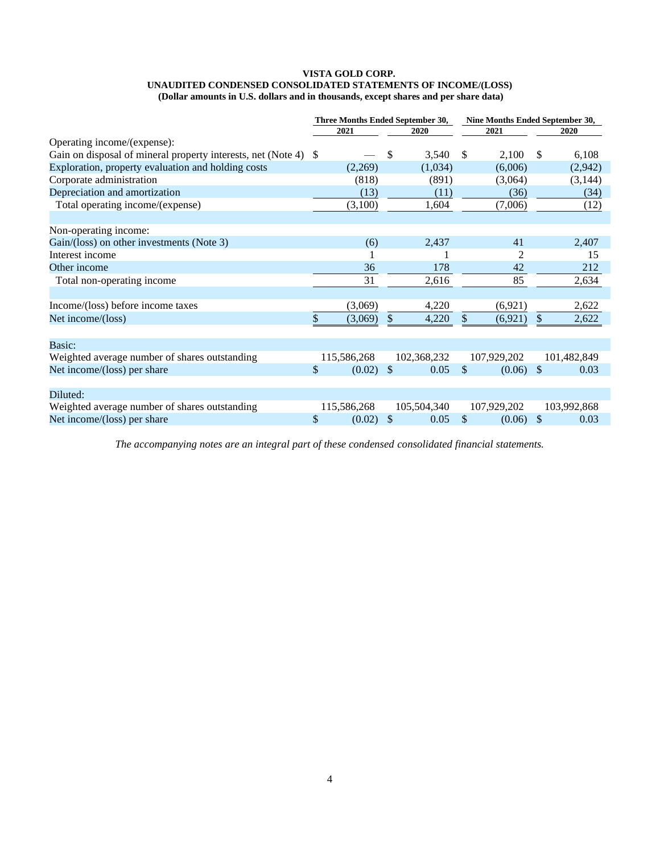#### **VISTA GOLD CORP. UNAUDITED CONDENSED CONSOLIDATED STATEMENTS OF INCOME/(LOSS) (Dollar amounts in U.S. dollars and in thousands, except shares and per share data)**

|                                                                 | Three Months Ended September 30, |        |                       | Nine Months Ended September 30, |         |              |             |
|-----------------------------------------------------------------|----------------------------------|--------|-----------------------|---------------------------------|---------|--------------|-------------|
|                                                                 | 2021                             | 2020   |                       |                                 | 2021    |              | 2020        |
| Operating income/(expense):                                     |                                  |        |                       |                                 |         |              |             |
| Gain on disposal of mineral property interests, net (Note 4) \$ |                                  |        | 3,540<br>\$           | S                               | 2,100   | \$           | 6,108       |
| Exploration, property evaluation and holding costs              | (2,269)                          |        | (1,034)               |                                 | (6,006) |              | (2,942)     |
| Corporate administration                                        |                                  | (818)  | (891)                 |                                 | (3,064) |              | (3, 144)    |
| Depreciation and amortization                                   |                                  | (13)   | (11)                  |                                 | (36)    |              | (34)        |
| Total operating income/(expense)                                | (3,100)                          |        | 1,604                 |                                 | (7,006) |              | (12)        |
| Non-operating income:                                           |                                  |        |                       |                                 |         |              |             |
| Gain/(loss) on other investments (Note 3)                       |                                  | (6)    | 2,437                 |                                 | 41      |              | 2,407       |
| Interest income                                                 |                                  |        |                       |                                 |         |              | 15          |
| Other income                                                    |                                  | 36     | 178                   |                                 | 42      |              | 212         |
| Total non-operating income                                      |                                  | 31     | 2,616                 |                                 | 85      |              | 2,634       |
| Income/(loss) before income taxes                               | (3,069)                          |        | 4,220                 |                                 | (6,921) |              | 2,622       |
| Net income/(loss)                                               | (3,069)                          |        | $\mathbb{S}$<br>4,220 | S                               | (6,921) | \$           | 2,622       |
| Basic:                                                          |                                  |        |                       |                                 |         |              |             |
| Weighted average number of shares outstanding                   | 115,586,268                      |        | 102,368,232           | 107,929,202                     |         |              | 101,482,849 |
| Net income/(loss) per share                                     | \$                               | (0.02) | \$<br>0.05            | S                               | (0.06)  | $\mathbb{S}$ | 0.03        |
| Diluted:                                                        |                                  |        |                       |                                 |         |              |             |
| Weighted average number of shares outstanding                   | 115,586,268                      |        | 105,504,340           | 107,929,202                     |         |              | 103,992,868 |
| Net income/(loss) per share                                     | \$                               | (0.02) | \$<br>0.05            | \$                              | (0.06)  | \$           | 0.03        |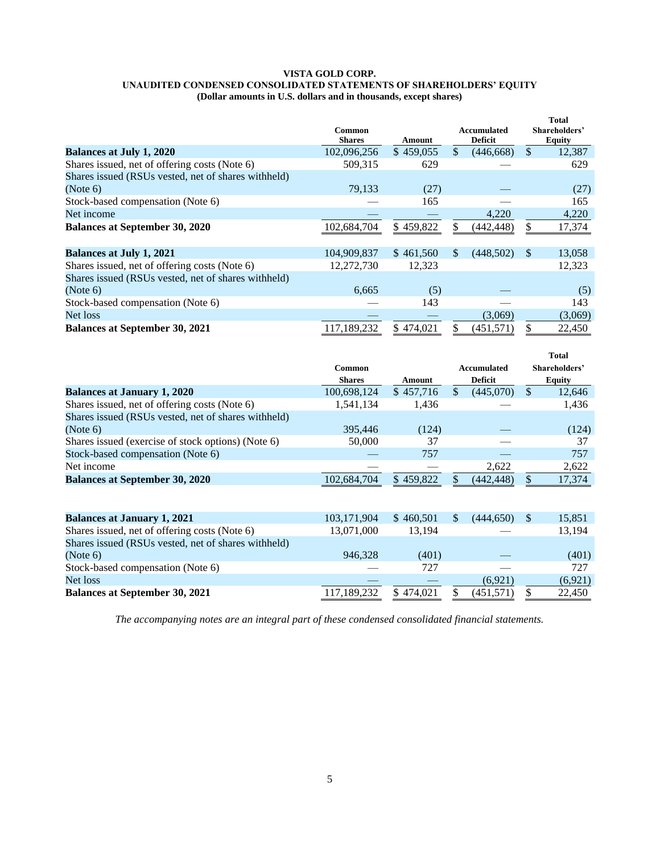#### **VISTA GOLD CORP. UNAUDITED CONDENSED CONSOLIDATED STATEMENTS OF SHAREHOLDERS' EQUITY (Dollar amounts in U.S. dollars and in thousands, except shares)**

|                                                     | Common<br><b>Shares</b> | Amount    |              | Accumulated<br><b>Deficit</b> |               | <b>Total</b><br>Shareholders'<br><b>Equity</b> |
|-----------------------------------------------------|-------------------------|-----------|--------------|-------------------------------|---------------|------------------------------------------------|
| <b>Balances at July 1, 2020</b>                     | 102,096,256             | \$459,055 | $\mathbb{S}$ | (446, 668)                    | $\mathcal{S}$ | 12,387                                         |
| Shares issued, net of offering costs (Note 6)       | 509,315                 | 629       |              |                               |               | 629                                            |
| Shares issued (RSUs vested, net of shares withheld) |                         |           |              |                               |               |                                                |
| (Note 6)                                            | 79,133                  | (27)      |              |                               |               | (27)                                           |
| Stock-based compensation (Note 6)                   |                         | 165       |              |                               |               | 165                                            |
| Net income                                          |                         |           |              | 4,220                         |               | 4,220                                          |
| <b>Balances at September 30, 2020</b>               | 102,684,704             | \$459,822 |              | (442, 448)                    | \$            | 17,374                                         |
| <b>Balances at July 1, 2021</b>                     | 104,909,837             | \$461,560 | \$           | (448,502)                     | -S            | 13,058                                         |
| Shares issued, net of offering costs (Note 6)       | 12,272,730              | 12,323    |              |                               |               | 12,323                                         |
| Shares issued (RSUs vested, net of shares withheld) |                         |           |              |                               |               |                                                |
| (Note 6)                                            | 6,665                   | (5)       |              |                               |               | (5)                                            |
| Stock-based compensation (Note 6)                   |                         | 143       |              |                               |               | 143                                            |
| Net loss                                            |                         |           |              | (3,069)                       |               | (3,069)                                        |
| <b>Balances at September 30, 2021</b>               | 117,189,232             | \$474,021 | \$           | (451, 571)                    | \$            | 22,450                                         |

|                                                     |               |           |               |                |               | <b>Total</b>  |
|-----------------------------------------------------|---------------|-----------|---------------|----------------|---------------|---------------|
|                                                     | Common        |           |               | Accumulated    |               | Shareholders' |
|                                                     | <b>Shares</b> | Amount    |               | <b>Deficit</b> |               | <b>Equity</b> |
| <b>Balances at January 1, 2020</b>                  | 100,698,124   | \$457,716 | $\mathcal{S}$ | (445,070)      | <sup>\$</sup> | 12,646        |
| Shares issued, net of offering costs (Note 6)       | 1,541,134     | 1,436     |               |                |               | 1,436         |
| Shares issued (RSUs vested, net of shares withheld) |               |           |               |                |               |               |
| (Note 6)                                            | 395,446       | (124)     |               |                |               | (124)         |
| Shares issued (exercise of stock options) (Note 6)  | 50,000        | 37        |               |                |               | 37            |
| Stock-based compensation (Note 6)                   |               | 757       |               |                |               | 757           |
| Net income                                          |               |           |               | 2,622          |               | 2,622         |
| <b>Balances at September 30, 2020</b>               | 102,684,704   | \$459,822 |               | (442, 448)     | \$            | 17,374        |
|                                                     |               |           |               |                |               |               |
| <b>Balances at January 1, 2021</b>                  | 103,171,904   | \$460.501 | <sup>\$</sup> | (444.650)      | <sup>\$</sup> | 15,851        |
| Shares issued, net of offering costs (Note 6)       | 13,071,000    | 13,194    |               |                |               | 13,194        |
| Shares issued (RSUs vested, net of shares withheld) |               |           |               |                |               |               |
| (Note 6)                                            | 946,328       | (401)     |               |                |               | (401)         |
| Stock-based compensation (Note 6)                   |               | 727       |               |                |               | 727           |
| Net loss                                            |               |           |               | (6,921)        |               | (6,921)       |
| <b>Balances at September 30, 2021</b>               | 117,189,232   | \$474,021 |               | (451, 571)     | \$            | 22,450        |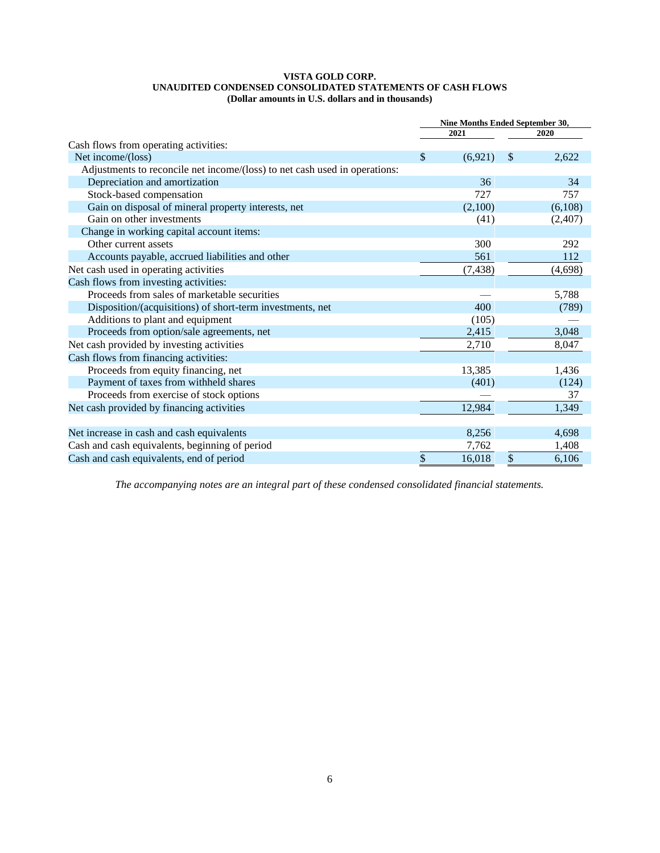### **VISTA GOLD CORP. UNAUDITED CONDENSED CONSOLIDATED STATEMENTS OF CASH FLOWS (Dollar amounts in U.S. dollars and in thousands)**

|                                                                            | Nine Months Ended September 30, |          |               |         |  |
|----------------------------------------------------------------------------|---------------------------------|----------|---------------|---------|--|
|                                                                            |                                 | 2021     |               | 2020    |  |
| Cash flows from operating activities:                                      |                                 |          |               |         |  |
| Net income/(loss)                                                          | \$                              | (6,921)  | \$            | 2,622   |  |
| Adjustments to reconcile net income/(loss) to net cash used in operations: |                                 |          |               |         |  |
| Depreciation and amortization                                              |                                 | 36       |               | 34      |  |
| Stock-based compensation                                                   |                                 | 727      |               | 757     |  |
| Gain on disposal of mineral property interests, net                        |                                 | (2,100)  |               | (6,108) |  |
| Gain on other investments                                                  |                                 | (41)     |               | (2,407) |  |
| Change in working capital account items:                                   |                                 |          |               |         |  |
| Other current assets                                                       |                                 | 300      |               | 292     |  |
| Accounts payable, accrued liabilities and other                            |                                 | 561      |               | 112     |  |
| Net cash used in operating activities                                      |                                 | (7, 438) |               | (4,698) |  |
| Cash flows from investing activities:                                      |                                 |          |               |         |  |
| Proceeds from sales of marketable securities                               |                                 |          |               | 5,788   |  |
| Disposition/(acquisitions) of short-term investments, net                  |                                 | 400      |               | (789)   |  |
| Additions to plant and equipment                                           |                                 | (105)    |               |         |  |
| Proceeds from option/sale agreements, net                                  |                                 | 2,415    |               | 3,048   |  |
| Net cash provided by investing activities                                  |                                 | 2,710    |               | 8,047   |  |
| Cash flows from financing activities:                                      |                                 |          |               |         |  |
| Proceeds from equity financing, net                                        |                                 | 13,385   |               | 1,436   |  |
| Payment of taxes from withheld shares                                      |                                 | (401)    |               | (124)   |  |
| Proceeds from exercise of stock options                                    |                                 |          |               | 37      |  |
| Net cash provided by financing activities                                  |                                 | 12,984   |               | 1,349   |  |
|                                                                            |                                 |          |               |         |  |
| Net increase in cash and cash equivalents                                  |                                 | 8,256    |               | 4,698   |  |
| Cash and cash equivalents, beginning of period                             |                                 | 7,762    |               | 1,408   |  |
| Cash and cash equivalents, end of period                                   | \$                              | 16,018   | $\mathcal{S}$ | 6,106   |  |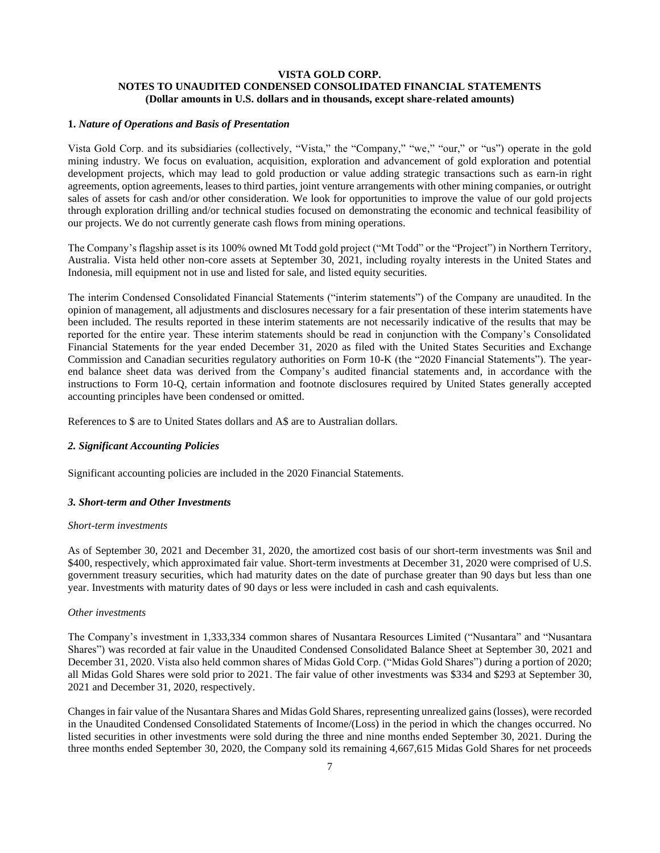## **VISTA GOLD CORP. NOTES TO UNAUDITED CONDENSED CONSOLIDATED FINANCIAL STATEMENTS (Dollar amounts in U.S. dollars and in thousands, except share-related amounts)**

## **1.** *Nature of Operations and Basis of Presentation*

Vista Gold Corp. and its subsidiaries (collectively, "Vista," the "Company," "we," "our," or "us") operate in the gold mining industry. We focus on evaluation, acquisition, exploration and advancement of gold exploration and potential development projects, which may lead to gold production or value adding strategic transactions such as earn-in right agreements, option agreements, leases to third parties, joint venture arrangements with other mining companies, or outright sales of assets for cash and/or other consideration. We look for opportunities to improve the value of our gold projects through exploration drilling and/or technical studies focused on demonstrating the economic and technical feasibility of our projects. We do not currently generate cash flows from mining operations.

The Company's flagship asset is its 100% owned Mt Todd gold project ("Mt Todd" or the "Project") in Northern Territory, Australia. Vista held other non-core assets at September 30, 2021, including royalty interests in the United States and Indonesia, mill equipment not in use and listed for sale, and listed equity securities.

The interim Condensed Consolidated Financial Statements ("interim statements") of the Company are unaudited. In the opinion of management, all adjustments and disclosures necessary for a fair presentation of these interim statements have been included. The results reported in these interim statements are not necessarily indicative of the results that may be reported for the entire year. These interim statements should be read in conjunction with the Company's Consolidated Financial Statements for the year ended December 31, 2020 as filed with the United States Securities and Exchange Commission and Canadian securities regulatory authorities on Form 10-K (the "2020 Financial Statements"). The yearend balance sheet data was derived from the Company's audited financial statements and, in accordance with the instructions to Form 10-Q, certain information and footnote disclosures required by United States generally accepted accounting principles have been condensed or omitted.

References to \$ are to United States dollars and A\$ are to Australian dollars.

### *2. Significant Accounting Policies*

Significant accounting policies are included in the 2020 Financial Statements.

#### *3. Short-term and Other Investments*

### *Short-term investments*

As of September 30, 2021 and December 31, 2020, the amortized cost basis of our short-term investments was \$nil and \$400, respectively, which approximated fair value. Short-term investments at December 31, 2020 were comprised of U.S. government treasury securities, which had maturity dates on the date of purchase greater than 90 days but less than one year. Investments with maturity dates of 90 days or less were included in cash and cash equivalents.

#### *Other investments*

The Company's investment in 1,333,334 common shares of Nusantara Resources Limited ("Nusantara" and "Nusantara Shares") was recorded at fair value in the Unaudited Condensed Consolidated Balance Sheet at September 30, 2021 and December 31, 2020. Vista also held common shares of Midas Gold Corp. ("Midas Gold Shares") during a portion of 2020; all Midas Gold Shares were sold prior to 2021. The fair value of other investments was \$334 and \$293 at September 30, 2021 and December 31, 2020, respectively.

Changes in fair value of the Nusantara Shares and Midas Gold Shares, representing unrealized gains (losses), were recorded in the Unaudited Condensed Consolidated Statements of Income/(Loss) in the period in which the changes occurred. No listed securities in other investments were sold during the three and nine months ended September 30, 2021. During the three months ended September 30, 2020, the Company sold its remaining 4,667,615 Midas Gold Shares for net proceeds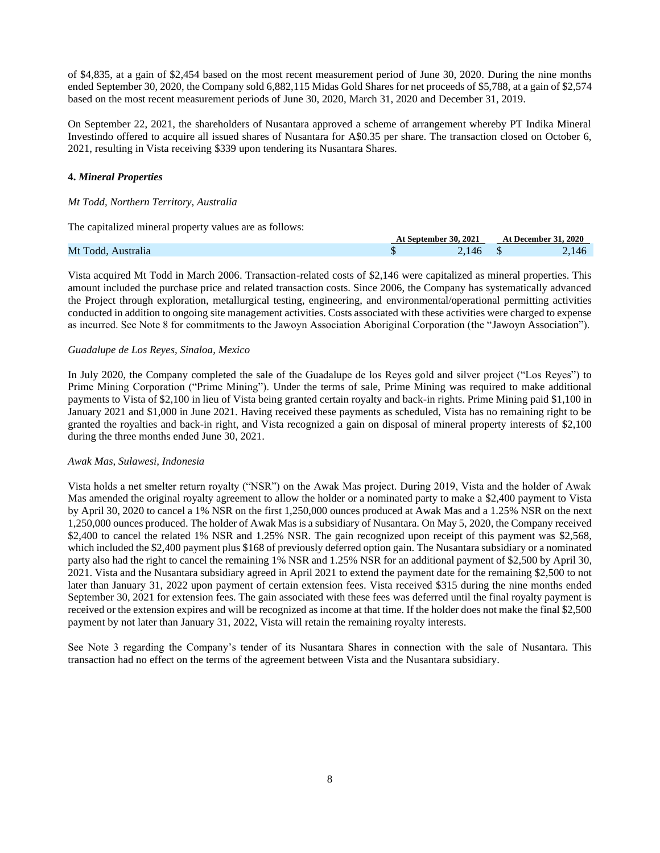of \$4,835, at a gain of \$2,454 based on the most recent measurement period of June 30, 2020. During the nine months ended September 30, 2020, the Company sold 6,882,115 Midas Gold Shares for net proceeds of \$5,788, at a gain of \$2,574 based on the most recent measurement periods of June 30, 2020, March 31, 2020 and December 31, 2019.

On September 22, 2021, the shareholders of Nusantara approved a scheme of arrangement whereby PT Indika Mineral Investindo offered to acquire all issued shares of Nusantara for A\$0.35 per share. The transaction closed on October 6, 2021, resulting in Vista receiving \$339 upon tendering its Nusantara Shares.

## **4.** *Mineral Properties*

## *Mt Todd, Northern Territory, Australia*

The capitalized mineral property values are as follows:

|                    | At September 30, 2021 |     | <b>At December 31, 2020</b> |
|--------------------|-----------------------|-----|-----------------------------|
| Mt Todd, Australia |                       | 146 | 146                         |

Vista acquired Mt Todd in March 2006. Transaction-related costs of \$2,146 were capitalized as mineral properties. This amount included the purchase price and related transaction costs. Since 2006, the Company has systematically advanced the Project through exploration, metallurgical testing, engineering, and environmental/operational permitting activities conducted in addition to ongoing site management activities. Costs associated with these activities were charged to expense as incurred. See Note 8 for commitments to the Jawoyn Association Aboriginal Corporation (the "Jawoyn Association").

## *Guadalupe de Los Reyes, Sinaloa, Mexico*

In July 2020, the Company completed the sale of the Guadalupe de los Reyes gold and silver project ("Los Reyes") to Prime Mining Corporation ("Prime Mining"). Under the terms of sale, Prime Mining was required to make additional payments to Vista of \$2,100 in lieu of Vista being granted certain royalty and back-in rights. Prime Mining paid \$1,100 in January 2021 and \$1,000 in June 2021. Having received these payments as scheduled, Vista has no remaining right to be granted the royalties and back-in right, and Vista recognized a gain on disposal of mineral property interests of \$2,100 during the three months ended June 30, 2021.

## *Awak Mas, Sulawesi, Indonesia*

Vista holds a net smelter return royalty ("NSR") on the Awak Mas project. During 2019, Vista and the holder of Awak Mas amended the original royalty agreement to allow the holder or a nominated party to make a \$2,400 payment to Vista by April 30, 2020 to cancel a 1% NSR on the first 1,250,000 ounces produced at Awak Mas and a 1.25% NSR on the next 1,250,000 ounces produced. The holder of Awak Mas is a subsidiary of Nusantara. On May 5, 2020, the Company received \$2,400 to cancel the related 1% NSR and 1.25% NSR. The gain recognized upon receipt of this payment was \$2,568, which included the \$2,400 payment plus \$168 of previously deferred option gain. The Nusantara subsidiary or a nominated party also had the right to cancel the remaining 1% NSR and 1.25% NSR for an additional payment of \$2,500 by April 30, 2021. Vista and the Nusantara subsidiary agreed in April 2021 to extend the payment date for the remaining \$2,500 to not later than January 31, 2022 upon payment of certain extension fees. Vista received \$315 during the nine months ended September 30, 2021 for extension fees. The gain associated with these fees was deferred until the final royalty payment is received or the extension expires and will be recognized as income at that time. If the holder does not make the final \$2,500 payment by not later than January 31, 2022, Vista will retain the remaining royalty interests.

See Note 3 regarding the Company's tender of its Nusantara Shares in connection with the sale of Nusantara. This transaction had no effect on the terms of the agreement between Vista and the Nusantara subsidiary.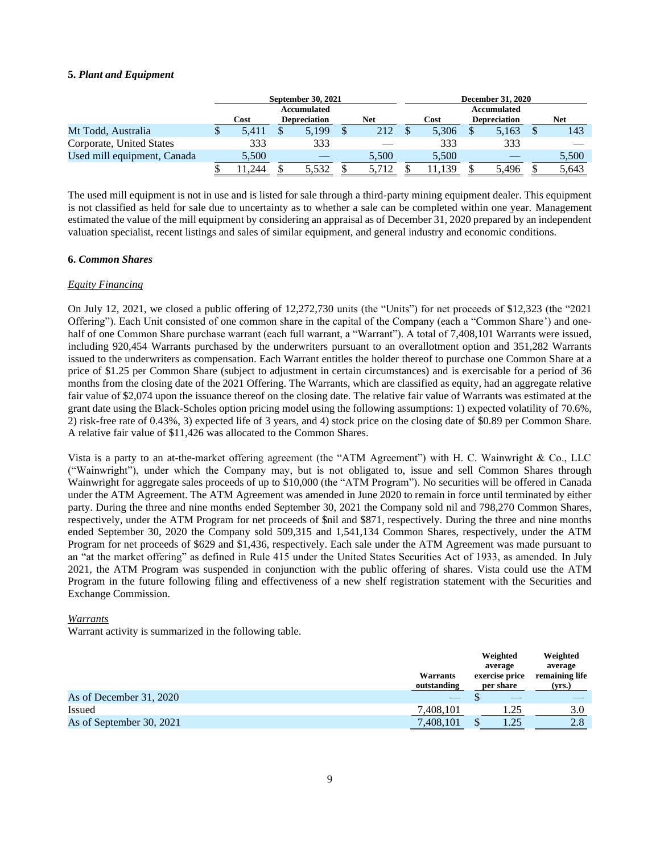## **5.** *Plant and Equipment*

|                             | September 30, 2021 |  |                     |  |            |       | <b>December 31, 2020</b> |            |
|-----------------------------|--------------------|--|---------------------|--|------------|-------|--------------------------|------------|
|                             | Accumulated        |  |                     |  |            |       | Accumulated              |            |
|                             | Cost               |  | <b>Depreciation</b> |  | <b>Net</b> | Cost  | <b>Depreciation</b>      | <b>Net</b> |
| Mt Todd, Australia          | 5.411              |  | 5.199               |  | 212        | 5,306 | 5,163                    | 143        |
| Corporate, United States    | 333                |  | 333                 |  |            | 333   | 333                      |            |
| Used mill equipment, Canada | 5,500              |  |                     |  | 5,500      | 5,500 |                          | 5,500      |
|                             | 244                |  | 5.532               |  |            |       | 5.496                    | 5,643      |

The used mill equipment is not in use and is listed for sale through a third-party mining equipment dealer. This equipment is not classified as held for sale due to uncertainty as to whether a sale can be completed within one year. Management estimated the value of the mill equipment by considering an appraisal as of December 31, 2020 prepared by an independent valuation specialist, recent listings and sales of similar equipment, and general industry and economic conditions.

### **6.** *Common Shares*

### *Equity Financing*

On July 12, 2021, we closed a public offering of 12,272,730 units (the "Units") for net proceeds of \$12,323 (the "2021 Offering"). Each Unit consisted of one common share in the capital of the Company (each a "Common Share') and onehalf of one Common Share purchase warrant (each full warrant, a "Warrant"). A total of 7,408,101 Warrants were issued, including 920,454 Warrants purchased by the underwriters pursuant to an overallotment option and 351,282 Warrants issued to the underwriters as compensation. Each Warrant entitles the holder thereof to purchase one Common Share at a price of \$1.25 per Common Share (subject to adjustment in certain circumstances) and is exercisable for a period of 36 months from the closing date of the 2021 Offering. The Warrants, which are classified as equity, had an aggregate relative fair value of \$2,074 upon the issuance thereof on the closing date. The relative fair value of Warrants was estimated at the grant date using the Black-Scholes option pricing model using the following assumptions: 1) expected volatility of 70.6%, 2) risk-free rate of 0.43%, 3) expected life of 3 years, and 4) stock price on the closing date of \$0.89 per Common Share. A relative fair value of \$11,426 was allocated to the Common Shares.

Vista is a party to an at-the-market offering agreement (the "ATM Agreement") with H. C. Wainwright & Co., LLC ("Wainwright"), under which the Company may, but is not obligated to, issue and sell Common Shares through Wainwright for aggregate sales proceeds of up to \$10,000 (the "ATM Program"). No securities will be offered in Canada under the ATM Agreement. The ATM Agreement was amended in June 2020 to remain in force until terminated by either party. During the three and nine months ended September 30, 2021 the Company sold nil and 798,270 Common Shares, respectively, under the ATM Program for net proceeds of \$nil and \$871, respectively. During the three and nine months ended September 30, 2020 the Company sold 509,315 and 1,541,134 Common Shares, respectively, under the ATM Program for net proceeds of \$629 and \$1,436, respectively. Each sale under the ATM Agreement was made pursuant to an "at the market offering" as defined in Rule 415 under the United States Securities Act of 1933, as amended. In July 2021, the ATM Program was suspended in conjunction with the public offering of shares. Vista could use the ATM Program in the future following filing and effectiveness of a new shelf registration statement with the Securities and Exchange Commission.

## *Warrants*

Warrant activity is summarized in the following table.

|                          | Warrants<br>outstanding | Weighted<br>average<br>exercise price<br>per share | Weighted<br>average<br>remaining life<br>(vrs.) |
|--------------------------|-------------------------|----------------------------------------------------|-------------------------------------------------|
| As of December 31, 2020  |                         |                                                    |                                                 |
| Issued                   | 7,408,101               | . 25                                               | 3.0                                             |
| As of September 30, 2021 | 7,408,101               | 1.25                                               | 2.8                                             |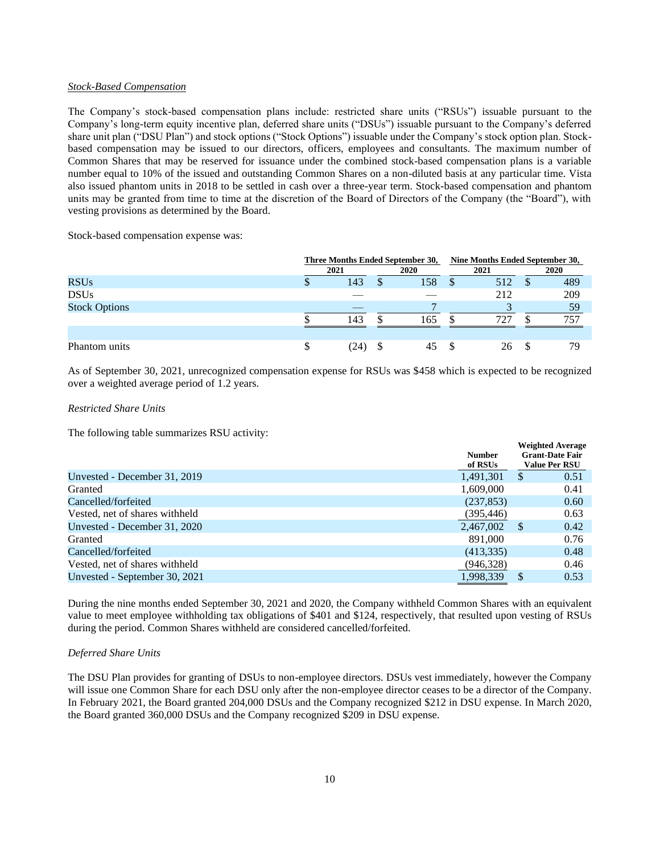### *Stock-Based Compensation*

The Company's stock-based compensation plans include: restricted share units ("RSUs") issuable pursuant to the Company's long-term equity incentive plan, deferred share units ("DSUs") issuable pursuant to the Company's deferred share unit plan ("DSU Plan") and stock options ("Stock Options") issuable under the Company's stock option plan. Stockbased compensation may be issued to our directors, officers, employees and consultants. The maximum number of Common Shares that may be reserved for issuance under the combined stock-based compensation plans is a variable number equal to 10% of the issued and outstanding Common Shares on a non-diluted basis at any particular time. Vista also issued phantom units in 2018 to be settled in cash over a three-year term. Stock-based compensation and phantom units may be granted from time to time at the discretion of the Board of Directors of the Company (the "Board"), with vesting provisions as determined by the Board.

Stock-based compensation expense was:

|                      |    | Three Months Ended September 30, |  |      | Nine Months Ended September 30, |      |   |             |
|----------------------|----|----------------------------------|--|------|---------------------------------|------|---|-------------|
|                      |    | 2021                             |  | 2020 |                                 | 2021 |   | <b>2020</b> |
| <b>RSUs</b>          | Φ  | 143                              |  | 158  |                                 | 512  | S | 489         |
| <b>DSUs</b>          |    |                                  |  |      |                                 | 212  |   | 209         |
| <b>Stock Options</b> |    |                                  |  | −    |                                 |      |   | 59          |
|                      |    | 143                              |  | 165  |                                 | 727  |   | 757         |
|                      |    |                                  |  |      |                                 |      |   |             |
| Phantom units        | \$ | 24)                              |  | 45   |                                 | 26   |   | 79          |

As of September 30, 2021, unrecognized compensation expense for RSUs was \$458 which is expected to be recognized over a weighted average period of 1.2 years.

### *Restricted Share Units*

The following table summarizes RSU activity:

|                                | <b>Number</b><br>of RSUs | <b>Weighted Average</b><br><b>Grant-Date Fair</b><br><b>Value Per RSU</b> |
|--------------------------------|--------------------------|---------------------------------------------------------------------------|
| Unvested - December 31, 2019   | 1,491,301                | 0.51<br><sup>\$</sup>                                                     |
| Granted                        | 1,609,000                | 0.41                                                                      |
| Cancelled/forfeited            | (237, 853)               | 0.60                                                                      |
| Vested, net of shares withheld | (395, 446)               | 0.63                                                                      |
| Unvested - December 31, 2020   | 2,467,002                | 0.42<br>-S                                                                |
| Granted                        | 891,000                  | 0.76                                                                      |
| Cancelled/forfeited            | (413, 335)               | 0.48                                                                      |
| Vested, net of shares withheld | (946, 328)               | 0.46                                                                      |
| Unvested - September 30, 2021  | 1,998,339                | 0.53<br>S                                                                 |

During the nine months ended September 30, 2021 and 2020, the Company withheld Common Shares with an equivalent value to meet employee withholding tax obligations of \$401 and \$124, respectively, that resulted upon vesting of RSUs during the period. Common Shares withheld are considered cancelled/forfeited.

### *Deferred Share Units*

The DSU Plan provides for granting of DSUs to non-employee directors. DSUs vest immediately, however the Company will issue one Common Share for each DSU only after the non-employee director ceases to be a director of the Company. In February 2021, the Board granted 204,000 DSUs and the Company recognized \$212 in DSU expense. In March 2020, the Board granted 360,000 DSUs and the Company recognized \$209 in DSU expense.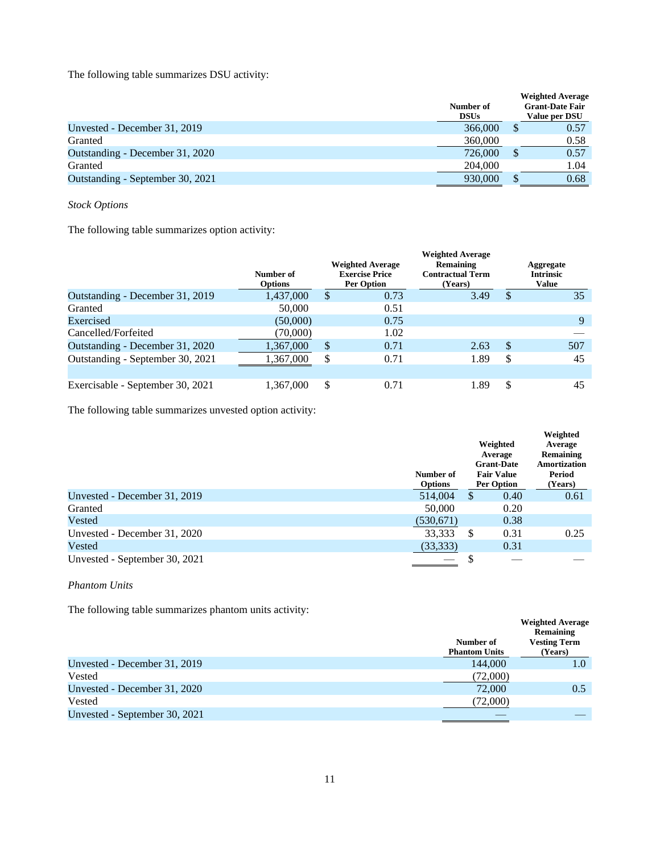The following table summarizes DSU activity:

|                                  | Number of<br><b>DSUs</b> |    | <b>Weighted Average</b><br><b>Grant-Date Fair</b><br>Value per DSU |
|----------------------------------|--------------------------|----|--------------------------------------------------------------------|
| Unvested - December 31, 2019     | 366,000                  |    | 0.57                                                               |
| Granted                          | 360,000                  |    | 0.58                                                               |
| Outstanding - December 31, 2020  | 726,000                  | аb | 0.57                                                               |
| Granted                          | 204,000                  |    | 1.04                                                               |
| Outstanding - September 30, 2021 | 930,000                  | ۰D | 0.68                                                               |

*Stock Options*

The following table summarizes option activity:

|                                  | Number of<br><b>Options</b> |    | <b>Weighted Average</b><br><b>Exercise Price</b><br><b>Per Option</b> | <b>Weighted Average</b><br>Remaining<br><b>Contractual Term</b><br>(Years) |    | Aggregate<br><b>Intrinsic</b><br><b>Value</b> |
|----------------------------------|-----------------------------|----|-----------------------------------------------------------------------|----------------------------------------------------------------------------|----|-----------------------------------------------|
| Outstanding - December 31, 2019  | 1,437,000                   | S  | 0.73                                                                  | 3.49                                                                       | \$ | 35                                            |
| Granted                          | 50,000                      |    | 0.51                                                                  |                                                                            |    |                                               |
| Exercised                        | (50,000)                    |    | 0.75                                                                  |                                                                            |    | 9                                             |
| Cancelled/Forfeited              | (70,000)                    |    | 1.02                                                                  |                                                                            |    |                                               |
| Outstanding - December 31, 2020  | 1,367,000                   | \$ | 0.71                                                                  | 2.63                                                                       | \$ | 507                                           |
| Outstanding - September 30, 2021 | 1,367,000                   | S  | 0.71                                                                  | 1.89                                                                       | S  | 45                                            |
|                                  |                             |    |                                                                       |                                                                            |    |                                               |
| Exercisable - September 30, 2021 | 1,367,000                   |    | 0.71                                                                  | 1.89                                                                       | S  | 45                                            |

The following table summarizes unvested option activity:

|                               |                             |                                          |                                        | Weighted             |  |
|-------------------------------|-----------------------------|------------------------------------------|----------------------------------------|----------------------|--|
|                               |                             | Weighted<br>Average<br><b>Grant-Date</b> |                                        | Average<br>Remaining |  |
|                               |                             |                                          |                                        |                      |  |
|                               |                             |                                          |                                        | Amortization         |  |
|                               | Number of<br><b>Options</b> |                                          | <b>Fair Value</b><br><b>Per Option</b> | Period<br>(Years)    |  |
| Unvested - December 31, 2019  | 514,004                     | <sup>\$</sup>                            | 0.40                                   | 0.61                 |  |
| Granted                       | 50,000                      |                                          | 0.20                                   |                      |  |
| Vested                        | (530, 671)                  |                                          | 0.38                                   |                      |  |
| Unvested - December 31, 2020  | 33,333                      | \$                                       | 0.31                                   | 0.25                 |  |
| Vested                        | (33,333)                    |                                          | 0.31                                   |                      |  |
| Unvested - September 30, 2021 |                             |                                          |                                        |                      |  |

*Phantom Units*

The following table summarizes phantom units activity:

| The rollowing there building the phantom units activity. |                                   |                                                                        |
|----------------------------------------------------------|-----------------------------------|------------------------------------------------------------------------|
|                                                          | Number of<br><b>Phantom Units</b> | <b>Weighted Average</b><br>Remaining<br><b>Vesting Term</b><br>(Years) |
| Unvested - December 31, 2019                             | 144,000                           | 1.0                                                                    |
| Vested                                                   | (72,000)                          |                                                                        |
| Unvested - December 31, 2020                             | 72,000                            | 0.5                                                                    |
| Vested                                                   | (72,000)                          |                                                                        |
| Unvested - September 30, 2021                            |                                   |                                                                        |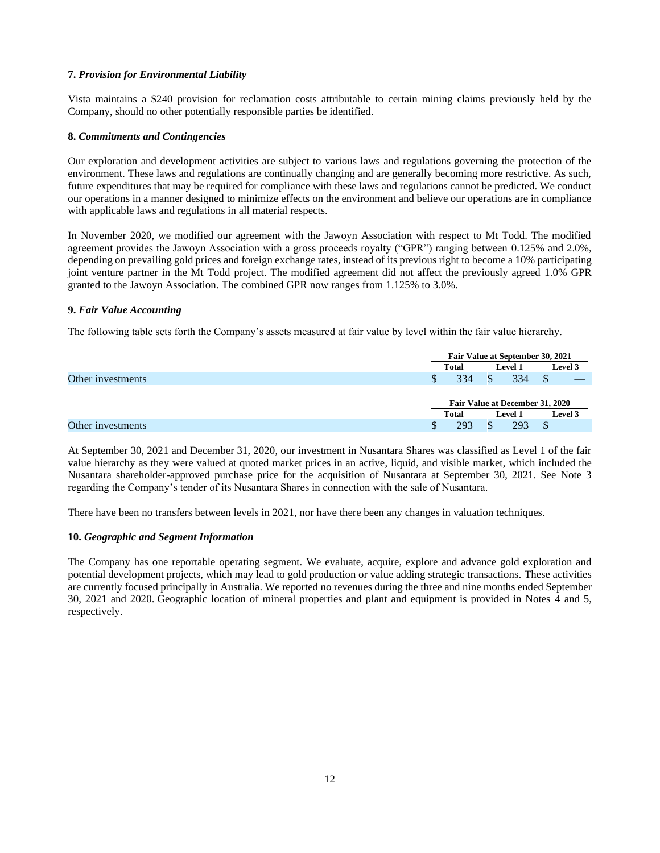## **7.** *Provision for Environmental Liability*

Vista maintains a \$240 provision for reclamation costs attributable to certain mining claims previously held by the Company, should no other potentially responsible parties be identified.

## **8.** *Commitments and Contingencies*

Our exploration and development activities are subject to various laws and regulations governing the protection of the environment. These laws and regulations are continually changing and are generally becoming more restrictive. As such, future expenditures that may be required for compliance with these laws and regulations cannot be predicted. We conduct our operations in a manner designed to minimize effects on the environment and believe our operations are in compliance with applicable laws and regulations in all material respects.

In November 2020, we modified our agreement with the Jawoyn Association with respect to Mt Todd. The modified agreement provides the Jawoyn Association with a gross proceeds royalty ("GPR") ranging between 0.125% and 2.0%, depending on prevailing gold prices and foreign exchange rates, instead of its previous right to become a 10% participating joint venture partner in the Mt Todd project. The modified agreement did not affect the previously agreed 1.0% GPR granted to the Jawoyn Association. The combined GPR now ranges from 1.125% to 3.0%.

## **9.** *Fair Value Accounting*

The following table sets forth the Company's assets measured at fair value by level within the fair value hierarchy.

|                   |       | Fair Value at September 30, 2021 |         |  |  |
|-------------------|-------|----------------------------------|---------|--|--|
|                   | Total | <b>Level 1</b>                   | Level 3 |  |  |
| Other investments | 334   | 334                              |         |  |  |
|                   |       | Fair Value at December 31, 2020  |         |  |  |
|                   | Total | <b>Level 1</b>                   | Level 3 |  |  |
| Other investments | 293   | 293                              |         |  |  |

At September 30, 2021 and December 31, 2020, our investment in Nusantara Shares was classified as Level 1 of the fair value hierarchy as they were valued at quoted market prices in an active, liquid, and visible market, which included the Nusantara shareholder-approved purchase price for the acquisition of Nusantara at September 30, 2021. See Note 3 regarding the Company's tender of its Nusantara Shares in connection with the sale of Nusantara.

There have been no transfers between levels in 2021, nor have there been any changes in valuation techniques.

## **10.** *Geographic and Segment Information*

The Company has one reportable operating segment. We evaluate, acquire, explore and advance gold exploration and potential development projects, which may lead to gold production or value adding strategic transactions. These activities are currently focused principally in Australia. We reported no revenues during the three and nine months ended September 30, 2021 and 2020. Geographic location of mineral properties and plant and equipment is provided in Notes 4 and 5, respectively.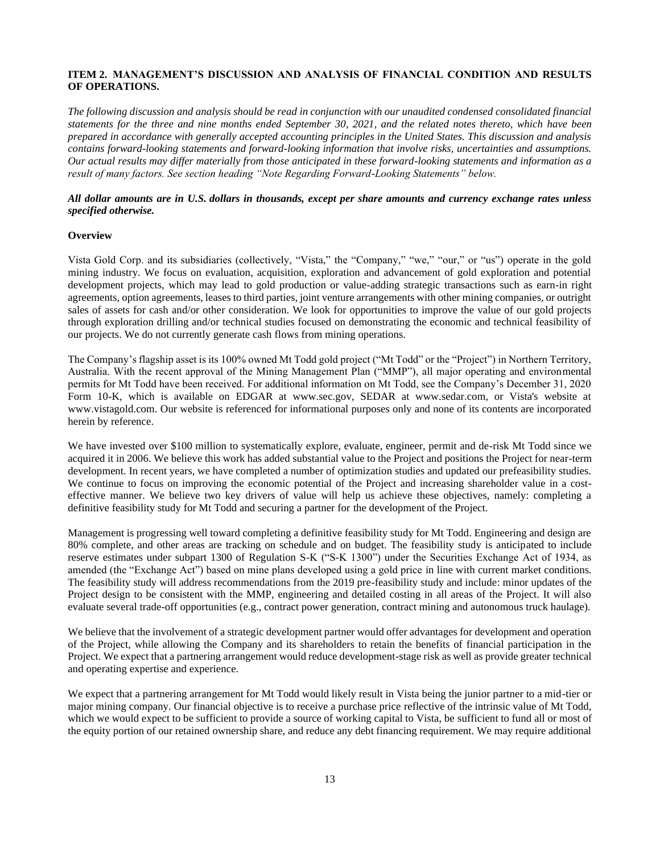## <span id="page-12-0"></span>**ITEM 2. MANAGEMENT'S DISCUSSION AND ANALYSIS OF FINANCIAL CONDITION AND RESULTS OF OPERATIONS.**

*The following discussion and analysis should be read in conjunction with our unaudited condensed consolidated financial statements for the three and nine months ended September 30, 2021, and the related notes thereto, which have been prepared in accordance with generally accepted accounting principles in the United States. This discussion and analysis contains forward-looking statements and forward-looking information that involve risks, uncertainties and assumptions. Our actual results may differ materially from those anticipated in these forward-looking statements and information as a result of many factors. See section heading "Note Regarding Forward-Looking Statements" below.*

## *All dollar amounts are in U.S. dollars in thousands, except per share amounts and currency exchange rates unless specified otherwise.*

### **Overview**

Vista Gold Corp. and its subsidiaries (collectively, "Vista," the "Company," "we," "our," or "us") operate in the gold mining industry. We focus on evaluation, acquisition, exploration and advancement of gold exploration and potential development projects, which may lead to gold production or value-adding strategic transactions such as earn-in right agreements, option agreements, leases to third parties, joint venture arrangements with other mining companies, or outright sales of assets for cash and/or other consideration. We look for opportunities to improve the value of our gold projects through exploration drilling and/or technical studies focused on demonstrating the economic and technical feasibility of our projects. We do not currently generate cash flows from mining operations.

The Company's flagship asset is its 100% owned Mt Todd gold project ("Mt Todd" or the "Project") in Northern Territory, Australia. With the recent approval of the Mining Management Plan ("MMP"), all major operating and environmental permits for Mt Todd have been received. For additional information on Mt Todd, see the Company's December 31, 2020 Form 10-K, which is available on EDGAR at www.sec.gov, SEDAR at www.sedar.com, or Vista's website at www.vistagold.com. Our website is referenced for informational purposes only and none of its contents are incorporated herein by reference.

We have invested over \$100 million to systematically explore, evaluate, engineer, permit and de-risk Mt Todd since we acquired it in 2006. We believe this work has added substantial value to the Project and positions the Project for near-term development. In recent years, we have completed a number of optimization studies and updated our prefeasibility studies. We continue to focus on improving the economic potential of the Project and increasing shareholder value in a costeffective manner. We believe two key drivers of value will help us achieve these objectives, namely: completing a definitive feasibility study for Mt Todd and securing a partner for the development of the Project.

Management is progressing well toward completing a definitive feasibility study for Mt Todd. Engineering and design are 80% complete, and other areas are tracking on schedule and on budget. The feasibility study is anticipated to include reserve estimates under subpart 1300 of Regulation S-K ("S-K 1300") under the Securities Exchange Act of 1934, as amended (the "Exchange Act") based on mine plans developed using a gold price in line with current market conditions. The feasibility study will address recommendations from the 2019 pre-feasibility study and include: minor updates of the Project design to be consistent with the MMP, engineering and detailed costing in all areas of the Project. It will also evaluate several trade-off opportunities (e.g., contract power generation, contract mining and autonomous truck haulage).

We believe that the involvement of a strategic development partner would offer advantages for development and operation of the Project, while allowing the Company and its shareholders to retain the benefits of financial participation in the Project. We expect that a partnering arrangement would reduce development-stage risk as well as provide greater technical and operating expertise and experience.

We expect that a partnering arrangement for Mt Todd would likely result in Vista being the junior partner to a mid-tier or major mining company. Our financial objective is to receive a purchase price reflective of the intrinsic value of Mt Todd, which we would expect to be sufficient to provide a source of working capital to Vista, be sufficient to fund all or most of the equity portion of our retained ownership share, and reduce any debt financing requirement. We may require additional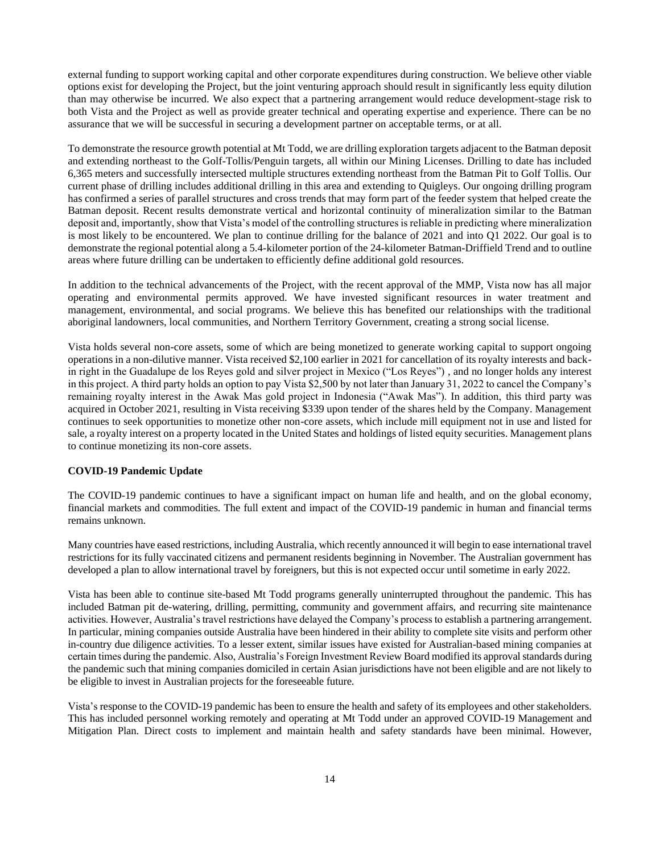external funding to support working capital and other corporate expenditures during construction. We believe other viable options exist for developing the Project, but the joint venturing approach should result in significantly less equity dilution than may otherwise be incurred. We also expect that a partnering arrangement would reduce development-stage risk to both Vista and the Project as well as provide greater technical and operating expertise and experience. There can be no assurance that we will be successful in securing a development partner on acceptable terms, or at all.

To demonstrate the resource growth potential at Mt Todd, we are drilling exploration targets adjacent to the Batman deposit and extending northeast to the Golf-Tollis/Penguin targets, all within our Mining Licenses. Drilling to date has included 6,365 meters and successfully intersected multiple structures extending northeast from the Batman Pit to Golf Tollis. Our current phase of drilling includes additional drilling in this area and extending to Quigleys. Our ongoing drilling program has confirmed a series of parallel structures and cross trends that may form part of the feeder system that helped create the Batman deposit. Recent results demonstrate vertical and horizontal continuity of mineralization similar to the Batman deposit and, importantly, show that Vista's model of the controlling structures is reliable in predicting where mineralization is most likely to be encountered. We plan to continue drilling for the balance of 2021 and into Q1 2022. Our goal is to demonstrate the regional potential along a 5.4-kilometer portion of the 24-kilometer Batman-Driffield Trend and to outline areas where future drilling can be undertaken to efficiently define additional gold resources.

In addition to the technical advancements of the Project, with the recent approval of the MMP, Vista now has all major operating and environmental permits approved. We have invested significant resources in water treatment and management, environmental, and social programs. We believe this has benefited our relationships with the traditional aboriginal landowners, local communities, and Northern Territory Government, creating a strong social license.

Vista holds several non-core assets, some of which are being monetized to generate working capital to support ongoing operations in a non-dilutive manner. Vista received \$2,100 earlier in 2021 for cancellation of its royalty interests and backin right in the Guadalupe de los Reyes gold and silver project in Mexico ("Los Reyes") , and no longer holds any interest in this project. A third party holds an option to pay Vista \$2,500 by not later than January 31, 2022 to cancel the Company's remaining royalty interest in the Awak Mas gold project in Indonesia ("Awak Mas"). In addition, this third party was acquired in October 2021, resulting in Vista receiving \$339 upon tender of the shares held by the Company. Management continues to seek opportunities to monetize other non-core assets, which include mill equipment not in use and listed for sale, a royalty interest on a property located in the United States and holdings of listed equity securities. Management plans to continue monetizing its non-core assets.

#### **COVID-19 Pandemic Update**

The COVID-19 pandemic continues to have a significant impact on human life and health, and on the global economy, financial markets and commodities. The full extent and impact of the COVID-19 pandemic in human and financial terms remains unknown.

Many countries have eased restrictions, including Australia, which recently announced it will begin to ease international travel restrictions for its fully vaccinated citizens and permanent residents beginning in November. The Australian government has developed a plan to allow international travel by foreigners, but this is not expected occur until sometime in early 2022.

Vista has been able to continue site-based Mt Todd programs generally uninterrupted throughout the pandemic. This has included Batman pit de-watering, drilling, permitting, community and government affairs, and recurring site maintenance activities. However, Australia's travel restrictions have delayed the Company's process to establish a partnering arrangement. In particular, mining companies outside Australia have been hindered in their ability to complete site visits and perform other in-country due diligence activities. To a lesser extent, similar issues have existed for Australian-based mining companies at certain times during the pandemic. Also, Australia's Foreign Investment Review Board modified its approval standards during the pandemic such that mining companies domiciled in certain Asian jurisdictions have not been eligible and are not likely to be eligible to invest in Australian projects for the foreseeable future.

Vista's response to the COVID-19 pandemic has been to ensure the health and safety of its employees and other stakeholders. This has included personnel working remotely and operating at Mt Todd under an approved COVID-19 Management and Mitigation Plan. Direct costs to implement and maintain health and safety standards have been minimal. However,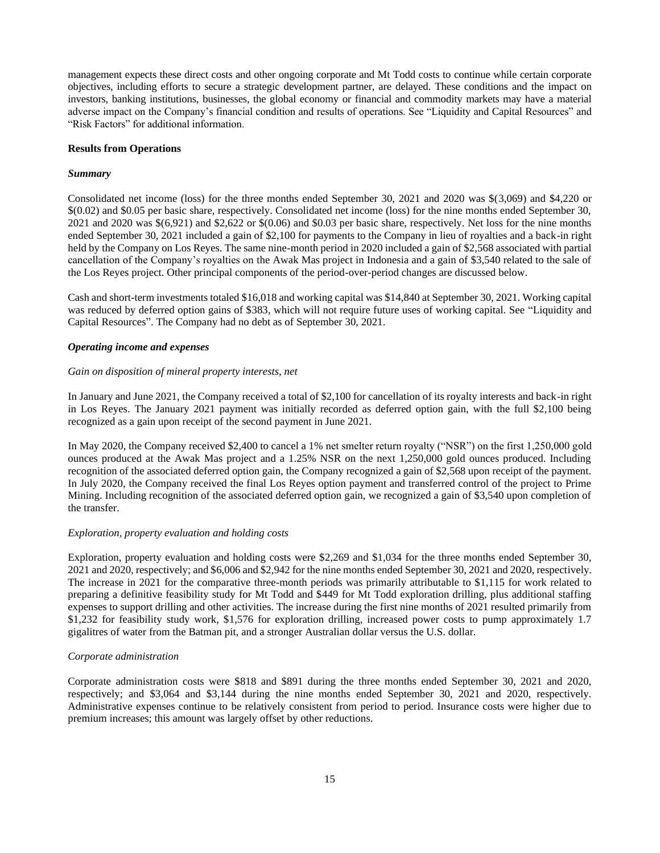management expects these direct costs and other ongoing corporate and Mt Todd costs to continue while certain corporate objectives, including efforts to secure a strategic development partner, are delayed. These conditions and the impact on investors, banking institutions, businesses, the global economy or financial and commodity markets may have a material adverse impact on the Company's financial condition and results of operations. See "Liquidity and Capital Resources" and "Risk Factors" for additional information.

#### **Results from Operations**

### *Summary*

Consolidated net income (loss) for the three months ended September 30, 2021 and 2020 was \$(3,069) and \$4,220 or \$(0.02) and \$0.05 per basic share, respectively. Consolidated net income (loss) for the nine months ended September 30, 2021 and 2020 was \$(6,921) and \$2,622 or \$(0.06) and \$0.03 per basic share, respectively. Net loss for the nine months ended September 30, 2021 included a gain of \$2,100 for payments to the Company in lieu of royalties and a back-in right held by the Company on Los Reyes. The same nine-month period in 2020 included a gain of \$2,568 associated with partial cancellation of the Company's royalties on the Awak Mas project in Indonesia and a gain of \$3,540 related to the sale of the Los Reyes project. Other principal components of the period-over-period changes are discussed below.

Cash and short-term investments totaled \$16,018 and working capital was \$14,840 at September 30, 2021. Working capital was reduced by deferred option gains of \$383, which will not require future uses of working capital. See "Liquidity and Capital Resources". The Company had no debt as of September 30, 2021.

## *Operating income and expenses*

### *Gain on disposition of mineral property interests, net*

In January and June 2021, the Company received a total of \$2,100 for cancellation of its royalty interests and back-in right in Los Reyes. The January 2021 payment was initially recorded as deferred option gain, with the full \$2,100 being recognized as a gain upon receipt of the second payment in June 2021.

In May 2020, the Company received \$2,400 to cancel a 1% net smelter return royalty ("NSR") on the first 1,250,000 gold ounces produced at the Awak Mas project and a 1.25% NSR on the next 1,250,000 gold ounces produced. Including recognition of the associated deferred option gain, the Company recognized a gain of \$2,568 upon receipt of the payment. In July 2020, the Company received the final Los Reyes option payment and transferred control of the project to Prime Mining. Including recognition of the associated deferred option gain, we recognized a gain of \$3,540 upon completion of the transfer.

## *Exploration, property evaluation and holding costs*

Exploration, property evaluation and holding costs were \$2,269 and \$1,034 for the three months ended September 30, 2021 and 2020, respectively; and \$6,006 and \$2,942 for the nine months ended September 30, 2021 and 2020, respectively. The increase in 2021 for the comparative three-month periods was primarily attributable to \$1,115 for work related to preparing a definitive feasibility study for Mt Todd and \$449 for Mt Todd exploration drilling, plus additional staffing expenses to support drilling and other activities. The increase during the first nine months of 2021 resulted primarily from \$1,232 for feasibility study work, \$1,576 for exploration drilling, increased power costs to pump approximately 1.7 gigalitres of water from the Batman pit, and a stronger Australian dollar versus the U.S. dollar.

## *Corporate administration*

Corporate administration costs were \$818 and \$891 during the three months ended September 30, 2021 and 2020, respectively; and \$3,064 and \$3,144 during the nine months ended September 30, 2021 and 2020, respectively. Administrative expenses continue to be relatively consistent from period to period. Insurance costs were higher due to premium increases; this amount was largely offset by other reductions.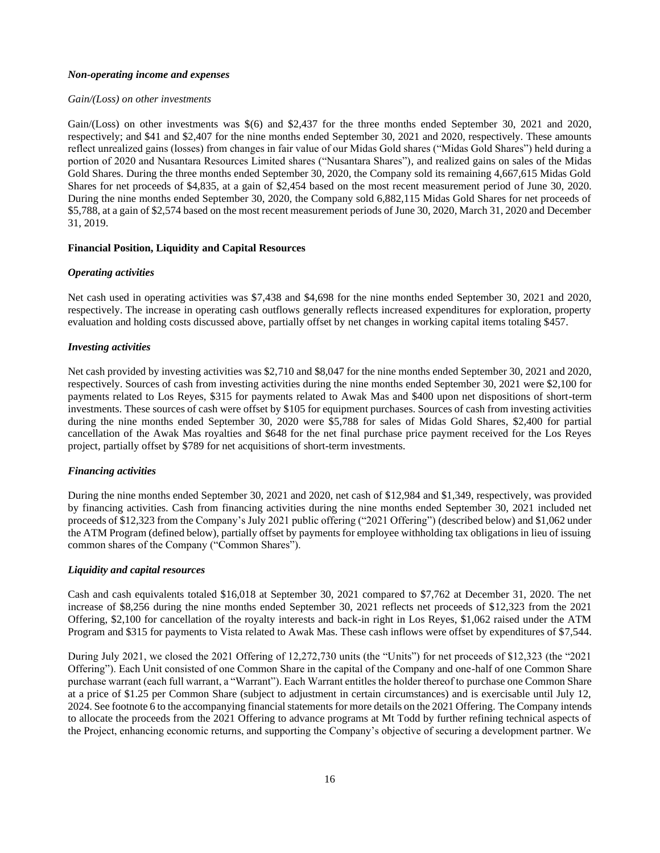### *Non-operating income and expenses*

### *Gain/(Loss) on other investments*

Gain/(Loss) on other investments was  $\$(6)$  and  $\$2,437$  for the three months ended September 30, 2021 and 2020, respectively; and \$41 and \$2,407 for the nine months ended September 30, 2021 and 2020, respectively. These amounts reflect unrealized gains (losses) from changes in fair value of our Midas Gold shares ("Midas Gold Shares") held during a portion of 2020 and Nusantara Resources Limited shares ("Nusantara Shares"), and realized gains on sales of the Midas Gold Shares. During the three months ended September 30, 2020, the Company sold its remaining 4,667,615 Midas Gold Shares for net proceeds of \$4,835, at a gain of \$2,454 based on the most recent measurement period of June 30, 2020. During the nine months ended September 30, 2020, the Company sold 6,882,115 Midas Gold Shares for net proceeds of \$5,788, at a gain of \$2,574 based on the most recent measurement periods of June 30, 2020, March 31, 2020 and December 31, 2019.

## **Financial Position, Liquidity and Capital Resources**

### *Operating activities*

Net cash used in operating activities was \$7,438 and \$4,698 for the nine months ended September 30, 2021 and 2020, respectively. The increase in operating cash outflows generally reflects increased expenditures for exploration, property evaluation and holding costs discussed above, partially offset by net changes in working capital items totaling \$457.

### *Investing activities*

Net cash provided by investing activities was \$2,710 and \$8,047 for the nine months ended September 30, 2021 and 2020, respectively. Sources of cash from investing activities during the nine months ended September 30, 2021 were \$2,100 for payments related to Los Reyes, \$315 for payments related to Awak Mas and \$400 upon net dispositions of short-term investments. These sources of cash were offset by \$105 for equipment purchases. Sources of cash from investing activities during the nine months ended September 30, 2020 were \$5,788 for sales of Midas Gold Shares, \$2,400 for partial cancellation of the Awak Mas royalties and \$648 for the net final purchase price payment received for the Los Reyes project, partially offset by \$789 for net acquisitions of short-term investments.

## *Financing activities*

During the nine months ended September 30, 2021 and 2020, net cash of \$12,984 and \$1,349, respectively, was provided by financing activities. Cash from financing activities during the nine months ended September 30, 2021 included net proceeds of \$12,323 from the Company's July 2021 public offering ("2021 Offering") (described below) and \$1,062 under the ATM Program (defined below), partially offset by payments for employee withholding tax obligations in lieu of issuing common shares of the Company ("Common Shares").

## *Liquidity and capital resources*

Cash and cash equivalents totaled \$16,018 at September 30, 2021 compared to \$7,762 at December 31, 2020. The net increase of \$8,256 during the nine months ended September 30, 2021 reflects net proceeds of \$12,323 from the 2021 Offering, \$2,100 for cancellation of the royalty interests and back-in right in Los Reyes, \$1,062 raised under the ATM Program and \$315 for payments to Vista related to Awak Mas. These cash inflows were offset by expenditures of \$7,544.

During July 2021, we closed the 2021 Offering of 12,272,730 units (the "Units") for net proceeds of \$12,323 (the "2021 Offering"). Each Unit consisted of one Common Share in the capital of the Company and one-half of one Common Share purchase warrant (each full warrant, a "Warrant"). Each Warrant entitles the holder thereof to purchase one Common Share at a price of \$1.25 per Common Share (subject to adjustment in certain circumstances) and is exercisable until July 12, 2024. See footnote 6 to the accompanying financial statements for more details on the 2021 Offering. The Company intends to allocate the proceeds from the 2021 Offering to advance programs at Mt Todd by further refining technical aspects of the Project, enhancing economic returns, and supporting the Company's objective of securing a development partner. We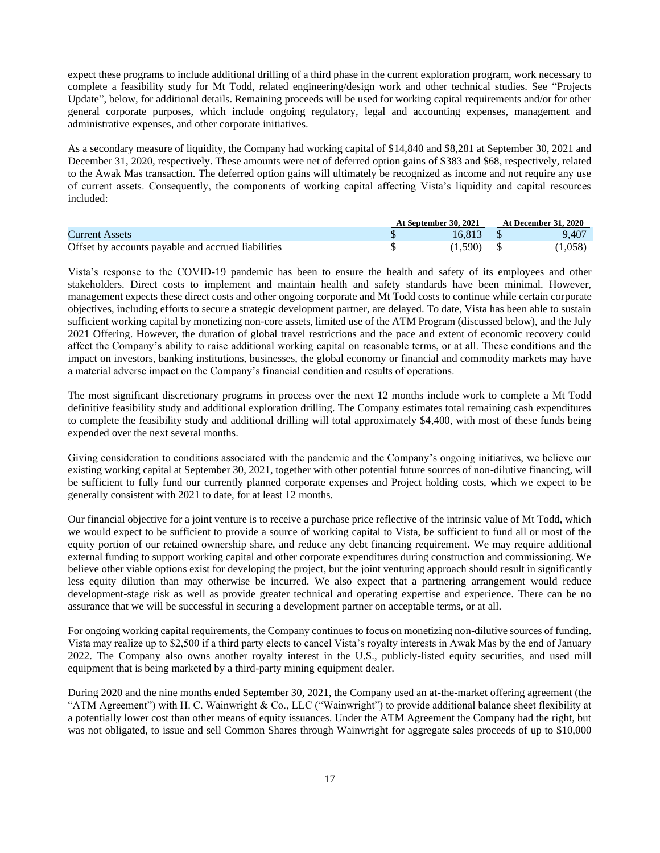expect these programs to include additional drilling of a third phase in the current exploration program, work necessary to complete a feasibility study for Mt Todd, related engineering/design work and other technical studies. See "Projects Update", below, for additional details. Remaining proceeds will be used for working capital requirements and/or for other general corporate purposes, which include ongoing regulatory, legal and accounting expenses, management and administrative expenses, and other corporate initiatives.

As a secondary measure of liquidity, the Company had working capital of \$14,840 and \$8,281 at September 30, 2021 and December 31, 2020, respectively. These amounts were net of deferred option gains of \$383 and \$68, respectively, related to the Awak Mas transaction. The deferred option gains will ultimately be recognized as income and not require any use of current assets. Consequently, the components of working capital affecting Vista's liquidity and capital resources included:

|                                                    | At September 30, 2021 | <b>At December 31, 2020</b> |
|----------------------------------------------------|-----------------------|-----------------------------|
| <b>Current Assets</b>                              | 16.813                | 9.407                       |
| Offset by accounts payable and accrued liabilities | (1,590)               | (1,058)                     |

Vista's response to the COVID-19 pandemic has been to ensure the health and safety of its employees and other stakeholders. Direct costs to implement and maintain health and safety standards have been minimal. However, management expects these direct costs and other ongoing corporate and Mt Todd costs to continue while certain corporate objectives, including efforts to secure a strategic development partner, are delayed. To date, Vista has been able to sustain sufficient working capital by monetizing non-core assets, limited use of the ATM Program (discussed below), and the July 2021 Offering. However, the duration of global travel restrictions and the pace and extent of economic recovery could affect the Company's ability to raise additional working capital on reasonable terms, or at all. These conditions and the impact on investors, banking institutions, businesses, the global economy or financial and commodity markets may have a material adverse impact on the Company's financial condition and results of operations.

The most significant discretionary programs in process over the next 12 months include work to complete a Mt Todd definitive feasibility study and additional exploration drilling. The Company estimates total remaining cash expenditures to complete the feasibility study and additional drilling will total approximately \$4,400, with most of these funds being expended over the next several months.

Giving consideration to conditions associated with the pandemic and the Company's ongoing initiatives, we believe our existing working capital at September 30, 2021, together with other potential future sources of non-dilutive financing, will be sufficient to fully fund our currently planned corporate expenses and Project holding costs, which we expect to be generally consistent with 2021 to date, for at least 12 months.

Our financial objective for a joint venture is to receive a purchase price reflective of the intrinsic value of Mt Todd, which we would expect to be sufficient to provide a source of working capital to Vista, be sufficient to fund all or most of the equity portion of our retained ownership share, and reduce any debt financing requirement. We may require additional external funding to support working capital and other corporate expenditures during construction and commissioning. We believe other viable options exist for developing the project, but the joint venturing approach should result in significantly less equity dilution than may otherwise be incurred. We also expect that a partnering arrangement would reduce development-stage risk as well as provide greater technical and operating expertise and experience. There can be no assurance that we will be successful in securing a development partner on acceptable terms, or at all.

For ongoing working capital requirements, the Company continues to focus on monetizing non-dilutive sources of funding. Vista may realize up to \$2,500 if a third party elects to cancel Vista's royalty interests in Awak Mas by the end of January 2022. The Company also owns another royalty interest in the U.S., publicly-listed equity securities, and used mill equipment that is being marketed by a third-party mining equipment dealer.

During 2020 and the nine months ended September 30, 2021, the Company used an at-the-market offering agreement (the "ATM Agreement") with H. C. Wainwright & Co., LLC ("Wainwright") to provide additional balance sheet flexibility at a potentially lower cost than other means of equity issuances. Under the ATM Agreement the Company had the right, but was not obligated, to issue and sell Common Shares through Wainwright for aggregate sales proceeds of up to \$10,000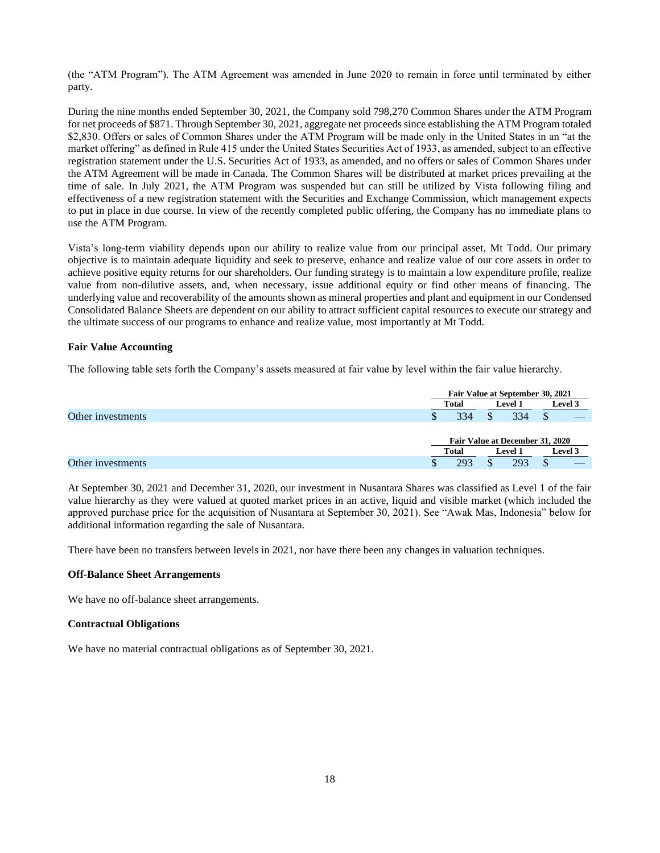(the "ATM Program"). The ATM Agreement was amended in June 2020 to remain in force until terminated by either party.

During the nine months ended September 30, 2021, the Company sold 798,270 Common Shares under the ATM Program for net proceeds of \$871. Through September 30, 2021, aggregate net proceeds since establishing the ATM Program totaled \$2,830. Offers or sales of Common Shares under the ATM Program will be made only in the United States in an "at the market offering" as defined in Rule 415 under the United States Securities Act of 1933, as amended, subject to an effective registration statement under the U.S. Securities Act of 1933, as amended, and no offers or sales of Common Shares under the ATM Agreement will be made in Canada. The Common Shares will be distributed at market prices prevailing at the time of sale. In July 2021, the ATM Program was suspended but can still be utilized by Vista following filing and effectiveness of a new registration statement with the Securities and Exchange Commission, which management expects to put in place in due course. In view of the recently completed public offering, the Company has no immediate plans to use the ATM Program.

Vista's long-term viability depends upon our ability to realize value from our principal asset, Mt Todd. Our primary objective is to maintain adequate liquidity and seek to preserve, enhance and realize value of our core assets in order to achieve positive equity returns for our shareholders. Our funding strategy is to maintain a low expenditure profile, realize value from non-dilutive assets, and, when necessary, issue additional equity or find other means of financing. The underlying value and recoverability of the amounts shown as mineral properties and plant and equipment in our Condensed Consolidated Balance Sheets are dependent on our ability to attract sufficient capital resources to execute our strategy and the ultimate success of our programs to enhance and realize value, most importantly at Mt Todd.

## **Fair Value Accounting**

The following table sets forth the Company's assets measured at fair value by level within the fair value hierarchy.

|                   |    | Fair Value at September 30, 2021 |                                 |         |  |
|-------------------|----|----------------------------------|---------------------------------|---------|--|
|                   |    | Total                            | <b>Level 1</b>                  | Level 3 |  |
| Other investments | J. | 334                              | 334                             |         |  |
|                   |    |                                  | Fair Value at December 31, 2020 |         |  |
|                   |    | Total                            | <b>Level 1</b>                  | Level 3 |  |
| Other investments |    | 293                              | 293                             |         |  |

At September 30, 2021 and December 31, 2020, our investment in Nusantara Shares was classified as Level 1 of the fair value hierarchy as they were valued at quoted market prices in an active, liquid and visible market (which included the approved purchase price for the acquisition of Nusantara at September 30, 2021). See "Awak Mas, Indonesia" below for additional information regarding the sale of Nusantara.

There have been no transfers between levels in 2021, nor have there been any changes in valuation techniques.

#### **Off-Balance Sheet Arrangements**

We have no off-balance sheet arrangements.

## **Contractual Obligations**

We have no material contractual obligations as of September 30, 2021.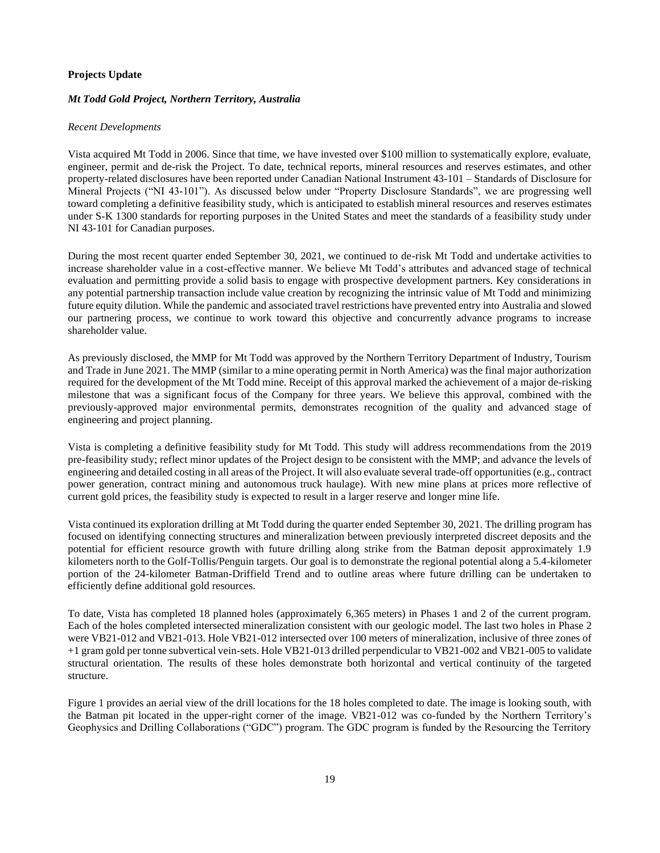## **Projects Update**

## *Mt Todd Gold Project, Northern Territory, Australia*

### *Recent Developments*

Vista acquired Mt Todd in 2006. Since that time, we have invested over \$100 million to systematically explore, evaluate, engineer, permit and de-risk the Project. To date, technical reports, mineral resources and reserves estimates, and other property-related disclosures have been reported under Canadian National Instrument 43-101 – Standards of Disclosure for Mineral Projects ("NI 43-101"). As discussed below under "Property Disclosure Standards", we are progressing well toward completing a definitive feasibility study, which is anticipated to establish mineral resources and reserves estimates under S-K 1300 standards for reporting purposes in the United States and meet the standards of a feasibility study under NI 43-101 for Canadian purposes.

During the most recent quarter ended September 30, 2021, we continued to de-risk Mt Todd and undertake activities to increase shareholder value in a cost-effective manner. We believe Mt Todd's attributes and advanced stage of technical evaluation and permitting provide a solid basis to engage with prospective development partners. Key considerations in any potential partnership transaction include value creation by recognizing the intrinsic value of Mt Todd and minimizing future equity dilution. While the pandemic and associated travel restrictions have prevented entry into Australia and slowed our partnering process, we continue to work toward this objective and concurrently advance programs to increase shareholder value.

As previously disclosed, the MMP for Mt Todd was approved by the Northern Territory Department of Industry, Tourism and Trade in June 2021. The MMP (similar to a mine operating permit in North America) was the final major authorization required for the development of the Mt Todd mine. Receipt of this approval marked the achievement of a major de-risking milestone that was a significant focus of the Company for three years. We believe this approval, combined with the previously-approved major environmental permits, demonstrates recognition of the quality and advanced stage of engineering and project planning.

Vista is completing a definitive feasibility study for Mt Todd. This study will address recommendations from the 2019 pre-feasibility study; reflect minor updates of the Project design to be consistent with the MMP; and advance the levels of engineering and detailed costing in all areas of the Project. It will also evaluate several trade-off opportunities (e.g., contract power generation, contract mining and autonomous truck haulage). With new mine plans at prices more reflective of current gold prices, the feasibility study is expected to result in a larger reserve and longer mine life.

Vista continued its exploration drilling at Mt Todd during the quarter ended September 30, 2021. The drilling program has focused on identifying connecting structures and mineralization between previously interpreted discreet deposits and the potential for efficient resource growth with future drilling along strike from the Batman deposit approximately 1.9 kilometers north to the Golf-Tollis/Penguin targets. Our goal is to demonstrate the regional potential along a 5.4-kilometer portion of the 24-kilometer Batman-Driffield Trend and to outline areas where future drilling can be undertaken to efficiently define additional gold resources.

To date, Vista has completed 18 planned holes (approximately 6,365 meters) in Phases 1 and 2 of the current program. Each of the holes completed intersected mineralization consistent with our geologic model. The last two holes in Phase 2 were VB21-012 and VB21-013. Hole VB21-012 intersected over 100 meters of mineralization, inclusive of three zones of +1 gram gold per tonne subvertical vein-sets. Hole VB21-013 drilled perpendicular to VB21-002 and VB21-005 to validate structural orientation. The results of these holes demonstrate both horizontal and vertical continuity of the targeted structure.

Figure 1 provides an aerial view of the drill locations for the 18 holes completed to date. The image is looking south, with the Batman pit located in the upper-right corner of the image. VB21-012 was co-funded by the Northern Territory's Geophysics and Drilling Collaborations ("GDC") program. The GDC program is funded by the Resourcing the Territory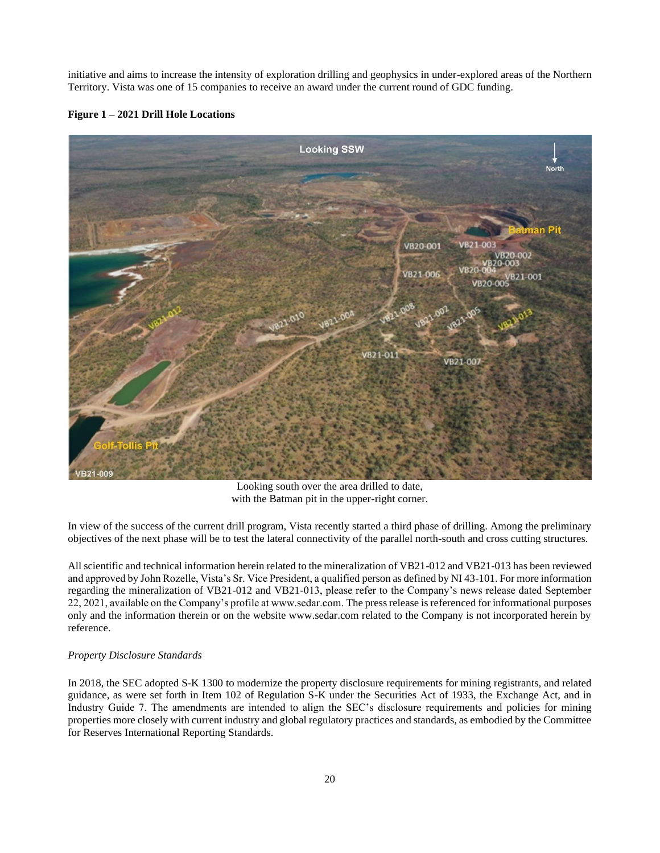initiative and aims to increase the intensity of exploration drilling and geophysics in under-explored areas of the Northern Territory. Vista was one of 15 companies to receive an award under the current round of GDC funding.

## **Figure 1 – 2021 Drill Hole Locations**



Looking south over the area drilled to date, with the Batman pit in the upper-right corner.

In view of the success of the current drill program, Vista recently started a third phase of drilling. Among the preliminary objectives of the next phase will be to test the lateral connectivity of the parallel north-south and cross cutting structures.

All scientific and technical information herein related to the mineralization of VB21-012 and VB21-013 has been reviewed and approved by John Rozelle, Vista's Sr. Vice President, a qualified person as defined by NI 43-101. For more information regarding the mineralization of VB21-012 and VB21-013, please refer to the Company's news release dated September 22, 2021, available on the Company's profile at www.sedar.com. The press release is referenced for informational purposes only and the information therein or on the website www.sedar.com related to the Company is not incorporated herein by reference.

## *Property Disclosure Standards*

In 2018, the SEC adopted S-K 1300 to modernize the property disclosure requirements for mining registrants, and related guidance, as were set forth in Item 102 of Regulation S-K under the Securities Act of 1933, the Exchange Act, and in Industry Guide 7. The amendments are intended to align the SEC's disclosure requirements and policies for mining properties more closely with current industry and global regulatory practices and standards, as embodied by the Committee for Reserves International Reporting Standards.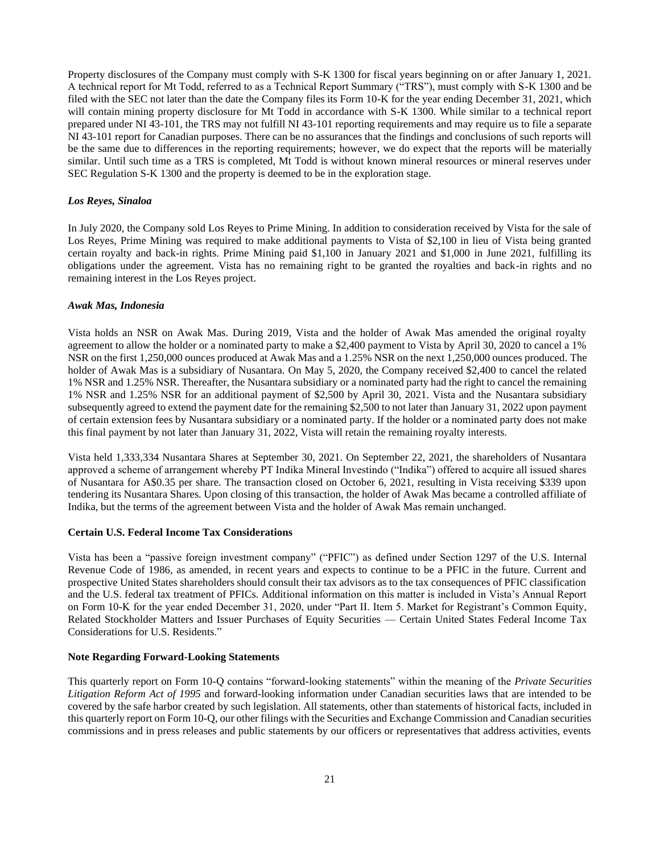Property disclosures of the Company must comply with S-K 1300 for fiscal years beginning on or after January 1, 2021. A technical report for Mt Todd, referred to as a Technical Report Summary ("TRS"), must comply with S-K 1300 and be filed with the SEC not later than the date the Company files its Form 10-K for the year ending December 31, 2021, which will contain mining property disclosure for Mt Todd in accordance with S-K 1300. While similar to a technical report prepared under NI 43-101, the TRS may not fulfill NI 43-101 reporting requirements and may require us to file a separate NI 43-101 report for Canadian purposes. There can be no assurances that the findings and conclusions of such reports will be the same due to differences in the reporting requirements; however, we do expect that the reports will be materially similar. Until such time as a TRS is completed, Mt Todd is without known mineral resources or mineral reserves under SEC Regulation S-K 1300 and the property is deemed to be in the exploration stage.

### *Los Reyes, Sinaloa*

In July 2020, the Company sold Los Reyes to Prime Mining. In addition to consideration received by Vista for the sale of Los Reyes, Prime Mining was required to make additional payments to Vista of \$2,100 in lieu of Vista being granted certain royalty and back-in rights. Prime Mining paid \$1,100 in January 2021 and \$1,000 in June 2021, fulfilling its obligations under the agreement. Vista has no remaining right to be granted the royalties and back-in rights and no remaining interest in the Los Reyes project.

#### *Awak Mas, Indonesia*

Vista holds an NSR on Awak Mas. During 2019, Vista and the holder of Awak Mas amended the original royalty agreement to allow the holder or a nominated party to make a \$2,400 payment to Vista by April 30, 2020 to cancel a 1% NSR on the first 1,250,000 ounces produced at Awak Mas and a 1.25% NSR on the next 1,250,000 ounces produced. The holder of Awak Mas is a subsidiary of Nusantara. On May 5, 2020, the Company received \$2,400 to cancel the related 1% NSR and 1.25% NSR. Thereafter, the Nusantara subsidiary or a nominated party had the right to cancel the remaining 1% NSR and 1.25% NSR for an additional payment of \$2,500 by April 30, 2021. Vista and the Nusantara subsidiary subsequently agreed to extend the payment date for the remaining \$2,500 to not later than January 31, 2022 upon payment of certain extension fees by Nusantara subsidiary or a nominated party. If the holder or a nominated party does not make this final payment by not later than January 31, 2022, Vista will retain the remaining royalty interests.

Vista held 1,333,334 Nusantara Shares at September 30, 2021. On September 22, 2021, the shareholders of Nusantara approved a scheme of arrangement whereby PT Indika Mineral Investindo ("Indika") offered to acquire all issued shares of Nusantara for A\$0.35 per share. The transaction closed on October 6, 2021, resulting in Vista receiving \$339 upon tendering its Nusantara Shares. Upon closing of this transaction, the holder of Awak Mas became a controlled affiliate of Indika, but the terms of the agreement between Vista and the holder of Awak Mas remain unchanged.

## **Certain U.S. Federal Income Tax Considerations**

Vista has been a "passive foreign investment company" ("PFIC") as defined under Section 1297 of the U.S. Internal Revenue Code of 1986, as amended, in recent years and expects to continue to be a PFIC in the future. Current and prospective United States shareholders should consult their tax advisors as to the tax consequences of PFIC classification and the U.S. federal tax treatment of PFICs. Additional information on this matter is included in Vista's Annual Report on Form 10-K for the year ended December 31, 2020, under "Part II. Item 5. Market for Registrant's Common Equity, Related Stockholder Matters and Issuer Purchases of Equity Securities — Certain United States Federal Income Tax Considerations for U.S. Residents."

### **Note Regarding Forward-Looking Statements**

This quarterly report on Form 10-Q contains "forward-looking statements" within the meaning of the *Private Securities Litigation Reform Act of 1995* and forward-looking information under Canadian securities laws that are intended to be covered by the safe harbor created by such legislation. All statements, other than statements of historical facts, included in this quarterly report on Form 10-Q, our other filings with the Securities and Exchange Commission and Canadian securities commissions and in press releases and public statements by our officers or representatives that address activities, events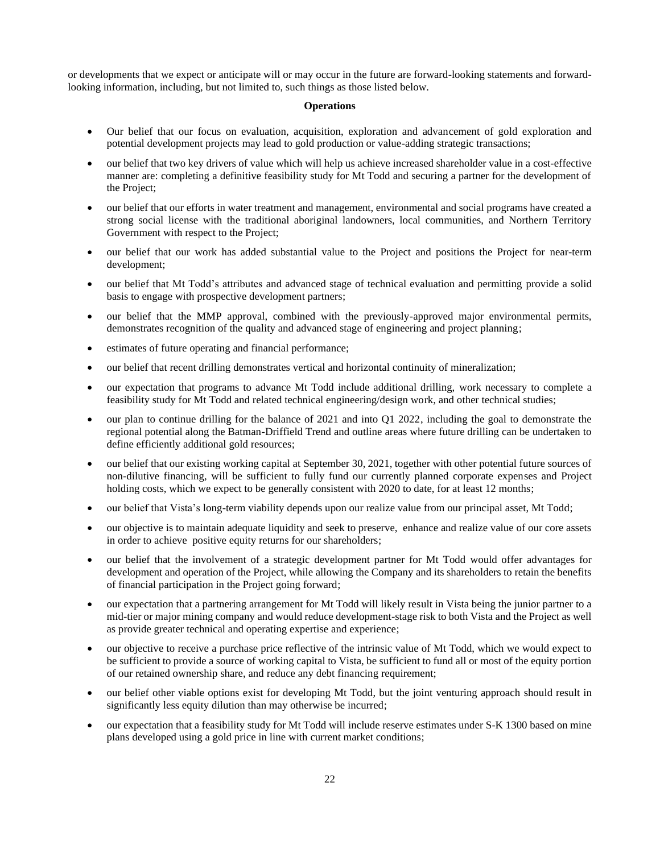or developments that we expect or anticipate will or may occur in the future are forward-looking statements and forwardlooking information, including, but not limited to, such things as those listed below.

## **Operations**

- Our belief that our focus on evaluation, acquisition, exploration and advancement of gold exploration and potential development projects may lead to gold production or value-adding strategic transactions;
- our belief that two key drivers of value which will help us achieve increased shareholder value in a cost-effective manner are: completing a definitive feasibility study for Mt Todd and securing a partner for the development of the Project;
- our belief that our efforts in water treatment and management, environmental and social programs have created a strong social license with the traditional aboriginal landowners, local communities, and Northern Territory Government with respect to the Project;
- our belief that our work has added substantial value to the Project and positions the Project for near-term development;
- our belief that Mt Todd's attributes and advanced stage of technical evaluation and permitting provide a solid basis to engage with prospective development partners;
- our belief that the MMP approval, combined with the previously-approved major environmental permits, demonstrates recognition of the quality and advanced stage of engineering and project planning;
- estimates of future operating and financial performance;
- our belief that recent drilling demonstrates vertical and horizontal continuity of mineralization;
- our expectation that programs to advance Mt Todd include additional drilling, work necessary to complete a feasibility study for Mt Todd and related technical engineering/design work, and other technical studies;
- our plan to continue drilling for the balance of 2021 and into Q1 2022, including the goal to demonstrate the regional potential along the Batman-Driffield Trend and outline areas where future drilling can be undertaken to define efficiently additional gold resources;
- our belief that our existing working capital at September 30, 2021, together with other potential future sources of non-dilutive financing, will be sufficient to fully fund our currently planned corporate expenses and Project holding costs, which we expect to be generally consistent with 2020 to date, for at least 12 months;
- our belief that Vista's long-term viability depends upon our realize value from our principal asset, Mt Todd;
- our objective is to maintain adequate liquidity and seek to preserve, enhance and realize value of our core assets in order to achieve positive equity returns for our shareholders;
- our belief that the involvement of a strategic development partner for Mt Todd would offer advantages for development and operation of the Project, while allowing the Company and its shareholders to retain the benefits of financial participation in the Project going forward;
- our expectation that a partnering arrangement for Mt Todd will likely result in Vista being the junior partner to a mid-tier or major mining company and would reduce development-stage risk to both Vista and the Project as well as provide greater technical and operating expertise and experience;
- our objective to receive a purchase price reflective of the intrinsic value of Mt Todd, which we would expect to be sufficient to provide a source of working capital to Vista, be sufficient to fund all or most of the equity portion of our retained ownership share, and reduce any debt financing requirement;
- our belief other viable options exist for developing Mt Todd, but the joint venturing approach should result in significantly less equity dilution than may otherwise be incurred;
- our expectation that a feasibility study for Mt Todd will include reserve estimates under S-K 1300 based on mine plans developed using a gold price in line with current market conditions;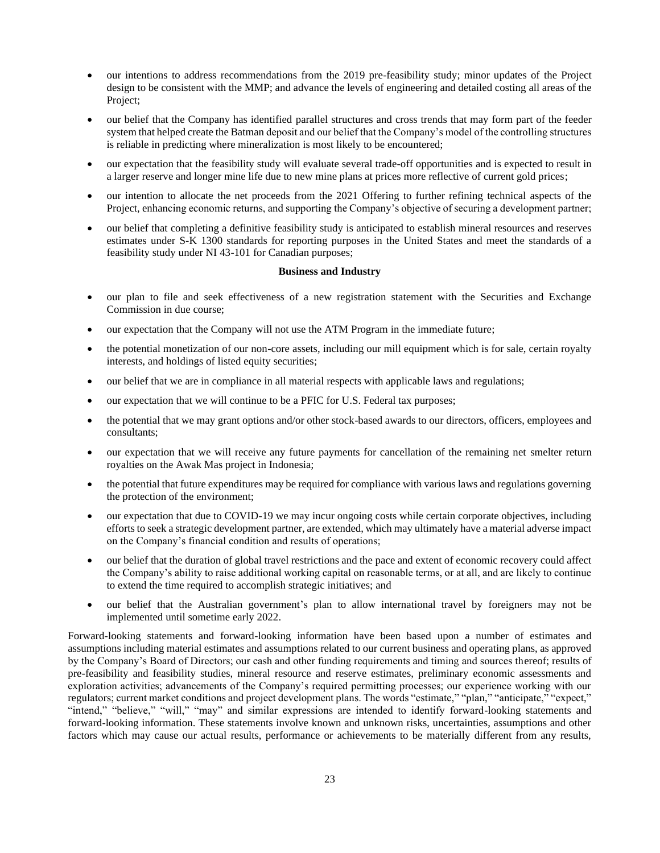- our intentions to address recommendations from the 2019 pre-feasibility study; minor updates of the Project design to be consistent with the MMP; and advance the levels of engineering and detailed costing all areas of the Project;
- our belief that the Company has identified parallel structures and cross trends that may form part of the feeder system that helped create the Batman deposit and our belief that the Company's model of the controlling structures is reliable in predicting where mineralization is most likely to be encountered;
- our expectation that the feasibility study will evaluate several trade-off opportunities and is expected to result in a larger reserve and longer mine life due to new mine plans at prices more reflective of current gold prices;
- our intention to allocate the net proceeds from the 2021 Offering to further refining technical aspects of the Project, enhancing economic returns, and supporting the Company's objective of securing a development partner;
- our belief that completing a definitive feasibility study is anticipated to establish mineral resources and reserves estimates under S-K 1300 standards for reporting purposes in the United States and meet the standards of a feasibility study under NI 43-101 for Canadian purposes;

### **Business and Industry**

- our plan to file and seek effectiveness of a new registration statement with the Securities and Exchange Commission in due course;
- our expectation that the Company will not use the ATM Program in the immediate future;
- the potential monetization of our non-core assets, including our mill equipment which is for sale, certain royalty interests, and holdings of listed equity securities;
- our belief that we are in compliance in all material respects with applicable laws and regulations;
- our expectation that we will continue to be a PFIC for U.S. Federal tax purposes;
- the potential that we may grant options and/or other stock-based awards to our directors, officers, employees and consultants;
- our expectation that we will receive any future payments for cancellation of the remaining net smelter return royalties on the Awak Mas project in Indonesia;
- the potential that future expenditures may be required for compliance with various laws and regulations governing the protection of the environment;
- our expectation that due to COVID-19 we may incur ongoing costs while certain corporate objectives, including efforts to seek a strategic development partner, are extended, which may ultimately have a material adverse impact on the Company's financial condition and results of operations;
- our belief that the duration of global travel restrictions and the pace and extent of economic recovery could affect the Company's ability to raise additional working capital on reasonable terms, or at all, and are likely to continue to extend the time required to accomplish strategic initiatives; and
- our belief that the Australian government's plan to allow international travel by foreigners may not be implemented until sometime early 2022.

Forward-looking statements and forward-looking information have been based upon a number of estimates and assumptions including material estimates and assumptions related to our current business and operating plans, as approved by the Company's Board of Directors; our cash and other funding requirements and timing and sources thereof; results of pre-feasibility and feasibility studies, mineral resource and reserve estimates, preliminary economic assessments and exploration activities; advancements of the Company's required permitting processes; our experience working with our regulators; current market conditions and project development plans. The words "estimate," "plan," "anticipate," "expect," "intend," "believe," "will," "may" and similar expressions are intended to identify forward-looking statements and forward-looking information. These statements involve known and unknown risks, uncertainties, assumptions and other factors which may cause our actual results, performance or achievements to be materially different from any results,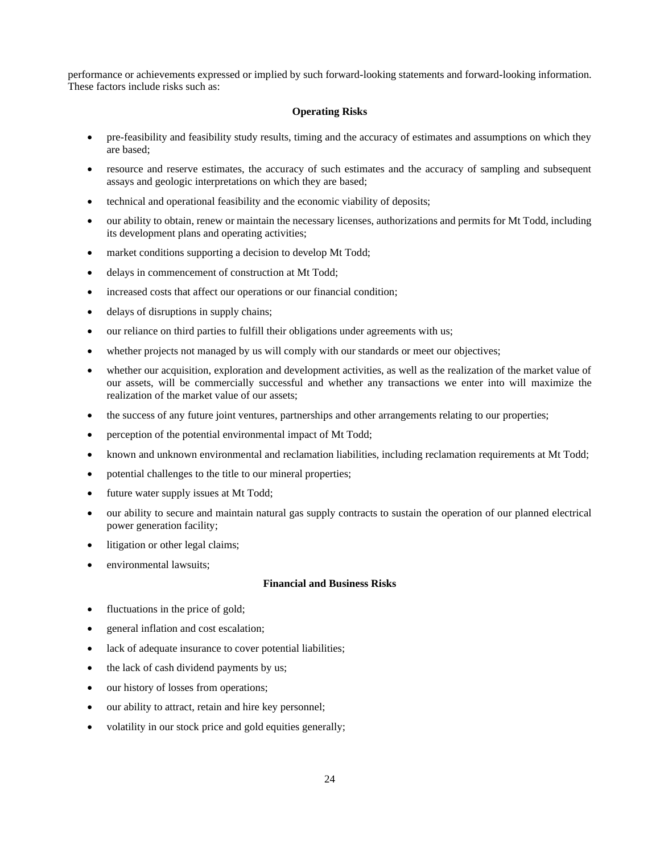performance or achievements expressed or implied by such forward-looking statements and forward-looking information. These factors include risks such as:

## **Operating Risks**

- pre-feasibility and feasibility study results, timing and the accuracy of estimates and assumptions on which they are based;
- resource and reserve estimates, the accuracy of such estimates and the accuracy of sampling and subsequent assays and geologic interpretations on which they are based;
- technical and operational feasibility and the economic viability of deposits;
- our ability to obtain, renew or maintain the necessary licenses, authorizations and permits for Mt Todd, including its development plans and operating activities;
- market conditions supporting a decision to develop Mt Todd;
- delays in commencement of construction at Mt Todd;
- increased costs that affect our operations or our financial condition;
- delays of disruptions in supply chains;
- our reliance on third parties to fulfill their obligations under agreements with us;
- whether projects not managed by us will comply with our standards or meet our objectives;
- whether our acquisition, exploration and development activities, as well as the realization of the market value of our assets, will be commercially successful and whether any transactions we enter into will maximize the realization of the market value of our assets;
- the success of any future joint ventures, partnerships and other arrangements relating to our properties;
- perception of the potential environmental impact of Mt Todd;
- known and unknown environmental and reclamation liabilities, including reclamation requirements at Mt Todd;
- potential challenges to the title to our mineral properties;
- future water supply issues at Mt Todd;
- our ability to secure and maintain natural gas supply contracts to sustain the operation of our planned electrical power generation facility;
- litigation or other legal claims;
- environmental lawsuits;

## **Financial and Business Risks**

- fluctuations in the price of gold;
- general inflation and cost escalation;
- lack of adequate insurance to cover potential liabilities;
- the lack of cash dividend payments by us;
- our history of losses from operations;
- our ability to attract, retain and hire key personnel;
- volatility in our stock price and gold equities generally;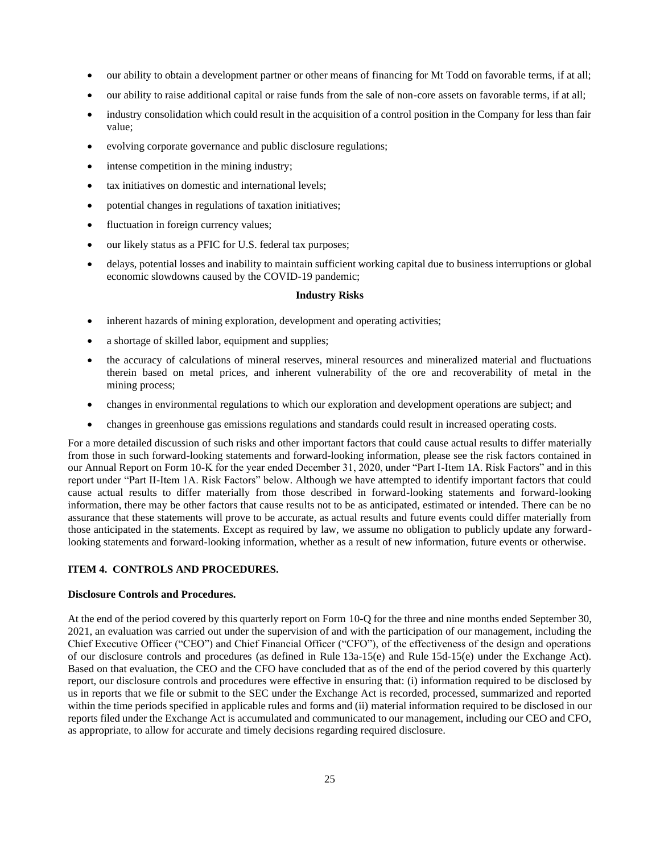- our ability to obtain a development partner or other means of financing for Mt Todd on favorable terms, if at all;
- our ability to raise additional capital or raise funds from the sale of non-core assets on favorable terms, if at all;
- industry consolidation which could result in the acquisition of a control position in the Company for less than fair value;
- evolving corporate governance and public disclosure regulations;
- intense competition in the mining industry;
- tax initiatives on domestic and international levels;
- potential changes in regulations of taxation initiatives;
- fluctuation in foreign currency values;
- our likely status as a PFIC for U.S. federal tax purposes;
- delays, potential losses and inability to maintain sufficient working capital due to business interruptions or global economic slowdowns caused by the COVID-19 pandemic;

## **Industry Risks**

- inherent hazards of mining exploration, development and operating activities;
- a shortage of skilled labor, equipment and supplies;
- the accuracy of calculations of mineral reserves, mineral resources and mineralized material and fluctuations therein based on metal prices, and inherent vulnerability of the ore and recoverability of metal in the mining process;
- changes in environmental regulations to which our exploration and development operations are subject; and
- changes in greenhouse gas emissions regulations and standards could result in increased operating costs.

For a more detailed discussion of such risks and other important factors that could cause actual results to differ materially from those in such forward-looking statements and forward-looking information, please see the risk factors contained in our Annual Report on Form 10-K for the year ended December 31, 2020, under "Part I-Item 1A. Risk Factors" and in this report under "Part II-Item 1A. Risk Factors" below. Although we have attempted to identify important factors that could cause actual results to differ materially from those described in forward-looking statements and forward-looking information, there may be other factors that cause results not to be as anticipated, estimated or intended. There can be no assurance that these statements will prove to be accurate, as actual results and future events could differ materially from those anticipated in the statements. Except as required by law, we assume no obligation to publicly update any forwardlooking statements and forward-looking information, whether as a result of new information, future events or otherwise.

# <span id="page-24-0"></span>**ITEM 4. CONTROLS AND PROCEDURES.**

## **Disclosure Controls and Procedures.**

At the end of the period covered by this quarterly report on Form 10-Q for the three and nine months ended September 30, 2021, an evaluation was carried out under the supervision of and with the participation of our management, including the Chief Executive Officer ("CEO") and Chief Financial Officer ("CFO"), of the effectiveness of the design and operations of our disclosure controls and procedures (as defined in Rule 13a-15(e) and Rule 15d-15(e) under the Exchange Act). Based on that evaluation, the CEO and the CFO have concluded that as of the end of the period covered by this quarterly report, our disclosure controls and procedures were effective in ensuring that: (i) information required to be disclosed by us in reports that we file or submit to the SEC under the Exchange Act is recorded, processed, summarized and reported within the time periods specified in applicable rules and forms and (ii) material information required to be disclosed in our reports filed under the Exchange Act is accumulated and communicated to our management, including our CEO and CFO, as appropriate, to allow for accurate and timely decisions regarding required disclosure.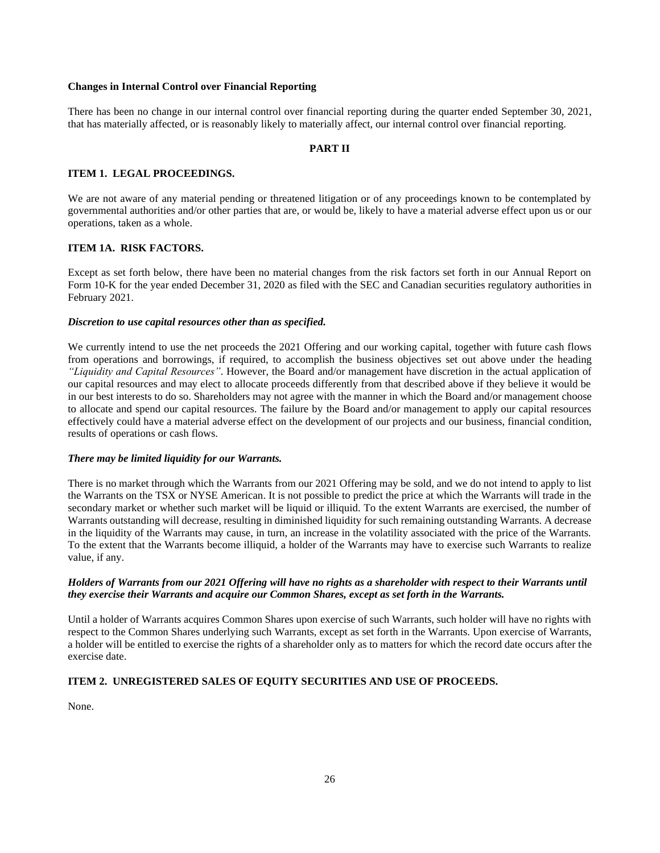### **Changes in Internal Control over Financial Reporting**

There has been no change in our internal control over financial reporting during the quarter ended September 30, 2021, that has materially affected, or is reasonably likely to materially affect, our internal control over financial reporting.

## <span id="page-25-1"></span><span id="page-25-0"></span>**PART II**

### **ITEM 1. LEGAL PROCEEDINGS.**

We are not aware of any material pending or threatened litigation or of any proceedings known to be contemplated by governmental authorities and/or other parties that are, or would be, likely to have a material adverse effect upon us or our operations, taken as a whole.

## <span id="page-25-2"></span>**ITEM 1A. RISK FACTORS.**

Except as set forth below, there have been no material changes from the risk factors set forth in our Annual Report on Form 10-K for the year ended December 31, 2020 as filed with the SEC and Canadian securities regulatory authorities in February 2021.

### *Discretion to use capital resources other than as specified.*

We currently intend to use the net proceeds the 2021 Offering and our working capital, together with future cash flows from operations and borrowings, if required, to accomplish the business objectives set out above under the heading *"Liquidity and Capital Resources"*. However, the Board and/or management have discretion in the actual application of our capital resources and may elect to allocate proceeds differently from that described above if they believe it would be in our best interests to do so. Shareholders may not agree with the manner in which the Board and/or management choose to allocate and spend our capital resources. The failure by the Board and/or management to apply our capital resources effectively could have a material adverse effect on the development of our projects and our business, financial condition, results of operations or cash flows.

## *There may be limited liquidity for our Warrants.*

There is no market through which the Warrants from our 2021 Offering may be sold, and we do not intend to apply to list the Warrants on the TSX or NYSE American. It is not possible to predict the price at which the Warrants will trade in the secondary market or whether such market will be liquid or illiquid. To the extent Warrants are exercised, the number of Warrants outstanding will decrease, resulting in diminished liquidity for such remaining outstanding Warrants. A decrease in the liquidity of the Warrants may cause, in turn, an increase in the volatility associated with the price of the Warrants. To the extent that the Warrants become illiquid, a holder of the Warrants may have to exercise such Warrants to realize value, if any.

## *Holders of Warrants from our 2021 Offering will have no rights as a shareholder with respect to their Warrants until they exercise their Warrants and acquire our Common Shares, except as set forth in the Warrants.*

Until a holder of Warrants acquires Common Shares upon exercise of such Warrants, such holder will have no rights with respect to the Common Shares underlying such Warrants, except as set forth in the Warrants. Upon exercise of Warrants, a holder will be entitled to exercise the rights of a shareholder only as to matters for which the record date occurs after the exercise date.

## <span id="page-25-3"></span>**ITEM 2. UNREGISTERED SALES OF EQUITY SECURITIES AND USE OF PROCEEDS.**

None.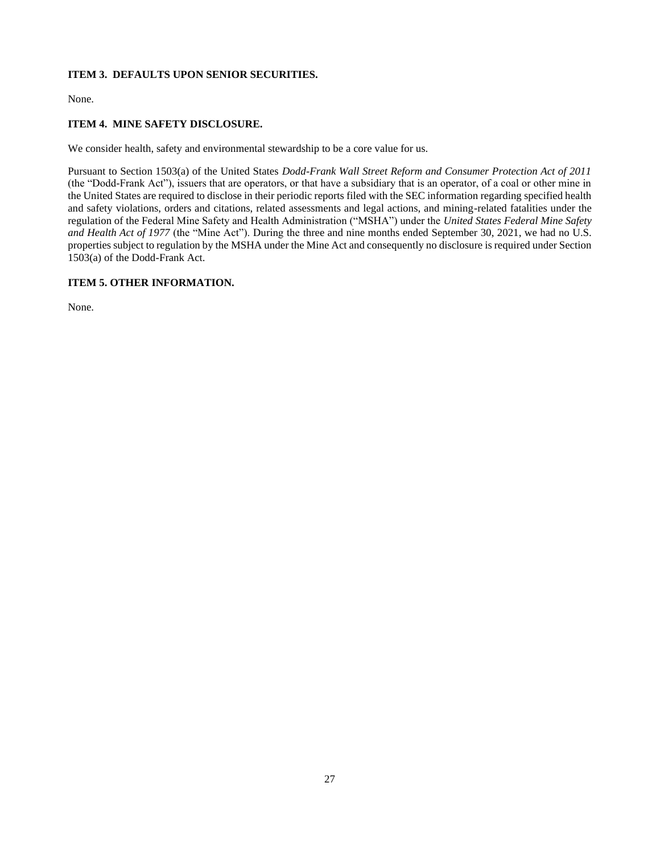# <span id="page-26-0"></span>**ITEM 3. DEFAULTS UPON SENIOR SECURITIES.**

None.

# <span id="page-26-1"></span>**ITEM 4. MINE SAFETY DISCLOSURE.**

We consider health, safety and environmental stewardship to be a core value for us.

Pursuant to Section 1503(a) of the United States *Dodd-Frank Wall Street Reform and Consumer Protection Act of 2011* (the "Dodd-Frank Act"), issuers that are operators, or that have a subsidiary that is an operator, of a coal or other mine in the United States are required to disclose in their periodic reports filed with the SEC information regarding specified health and safety violations, orders and citations, related assessments and legal actions, and mining-related fatalities under the regulation of the Federal Mine Safety and Health Administration ("MSHA") under the *United States Federal Mine Safety and Health Act of 1977* (the "Mine Act"). During the three and nine months ended September 30, 2021, we had no U.S. properties subject to regulation by the MSHA under the Mine Act and consequently no disclosure is required under Section 1503(a) of the Dodd-Frank Act.

# <span id="page-26-2"></span>**ITEM 5. OTHER INFORMATION.**

None.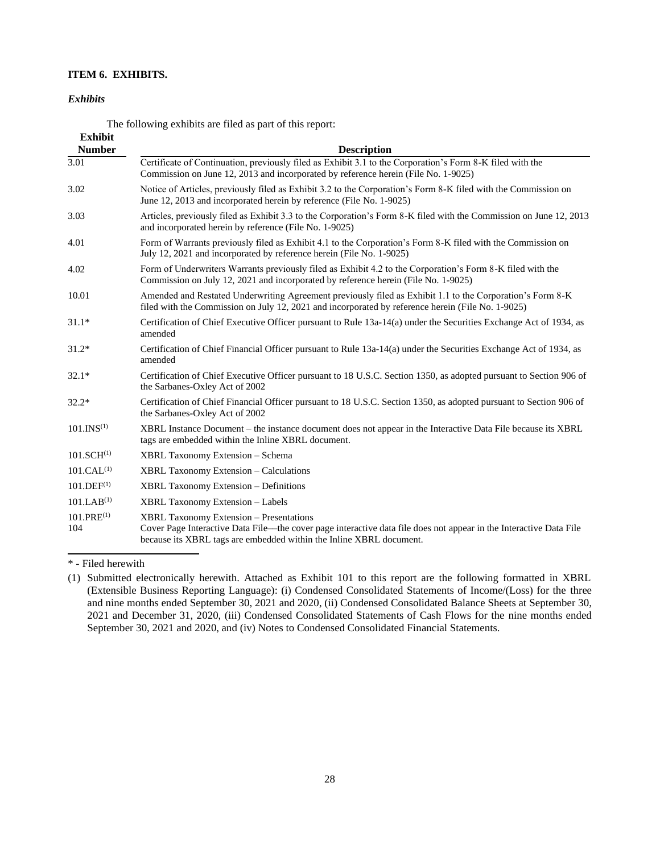# **ITEM 6. EXHIBITS.**

### *Exhibits*

<span id="page-27-0"></span>The following exhibits are filed as part of this report:

| <b>Exhibit</b>         |                                                                                                                                                                                                                                             |
|------------------------|---------------------------------------------------------------------------------------------------------------------------------------------------------------------------------------------------------------------------------------------|
| <b>Number</b>          | <b>Description</b>                                                                                                                                                                                                                          |
| 3.01                   | Certificate of Continuation, previously filed as Exhibit 3.1 to the Corporation's Form 8-K filed with the<br>Commission on June 12, 2013 and incorporated by reference herein (File No. 1-9025)                                             |
| 3.02                   | Notice of Articles, previously filed as Exhibit 3.2 to the Corporation's Form 8-K filed with the Commission on<br>June 12, 2013 and incorporated herein by reference (File No. 1-9025)                                                      |
| 3.03                   | Articles, previously filed as Exhibit 3.3 to the Corporation's Form 8-K filed with the Commission on June 12, 2013<br>and incorporated herein by reference (File No. 1-9025)                                                                |
| 4.01                   | Form of Warrants previously filed as Exhibit 4.1 to the Corporation's Form 8-K filed with the Commission on<br>July 12, 2021 and incorporated by reference herein (File No. 1-9025)                                                         |
| 4.02                   | Form of Underwriters Warrants previously filed as Exhibit 4.2 to the Corporation's Form 8-K filed with the<br>Commission on July 12, 2021 and incorporated by reference herein (File No. 1-9025)                                            |
| 10.01                  | Amended and Restated Underwriting Agreement previously filed as Exhibit 1.1 to the Corporation's Form 8-K<br>filed with the Commission on July 12, 2021 and incorporated by reference herein (File No. 1-9025)                              |
| $31.1*$                | Certification of Chief Executive Officer pursuant to Rule 13a-14(a) under the Securities Exchange Act of 1934, as<br>amended                                                                                                                |
| $31.2*$                | Certification of Chief Financial Officer pursuant to Rule 13a-14(a) under the Securities Exchange Act of 1934, as<br>amended                                                                                                                |
| $32.1*$                | Certification of Chief Executive Officer pursuant to 18 U.S.C. Section 1350, as adopted pursuant to Section 906 of<br>the Sarbanes-Oxley Act of 2002                                                                                        |
| $32.2*$                | Certification of Chief Financial Officer pursuant to 18 U.S.C. Section 1350, as adopted pursuant to Section 906 of<br>the Sarbanes-Oxley Act of 2002                                                                                        |
| 101.INS <sup>(1)</sup> | XBRL Instance Document – the instance document does not appear in the Interactive Data File because its XBRL<br>tags are embedded within the Inline XBRL document.                                                                          |
| 101.SCH <sup>(1)</sup> | <b>XBRL Taxonomy Extension – Schema</b>                                                                                                                                                                                                     |
| 101.CAL <sup>(1)</sup> | <b>XBRL Taxonomy Extension - Calculations</b>                                                                                                                                                                                               |
| 101.DEF <sup>(1)</sup> | <b>XBRL Taxonomy Extension - Definitions</b>                                                                                                                                                                                                |
| 101.LAB <sup>(1)</sup> | <b>XBRL Taxonomy Extension - Labels</b>                                                                                                                                                                                                     |
| $101.PRE^{(1)}$<br>104 | <b>XBRL Taxonomy Extension - Presentations</b><br>Cover Page Interactive Data File—the cover page interactive data file does not appear in the Interactive Data File<br>because its XBRL tags are embedded within the Inline XBRL document. |

\* - Filed herewith

<sup>(1)</sup> Submitted electronically herewith. Attached as Exhibit 101 to this report are the following formatted in XBRL (Extensible Business Reporting Language): (i) Condensed Consolidated Statements of Income/(Loss) for the three and nine months ended September 30, 2021 and 2020, (ii) Condensed Consolidated Balance Sheets at September 30, 2021 and December 31, 2020, (iii) Condensed Consolidated Statements of Cash Flows for the nine months ended September 30, 2021 and 2020, and (iv) Notes to Condensed Consolidated Financial Statements.